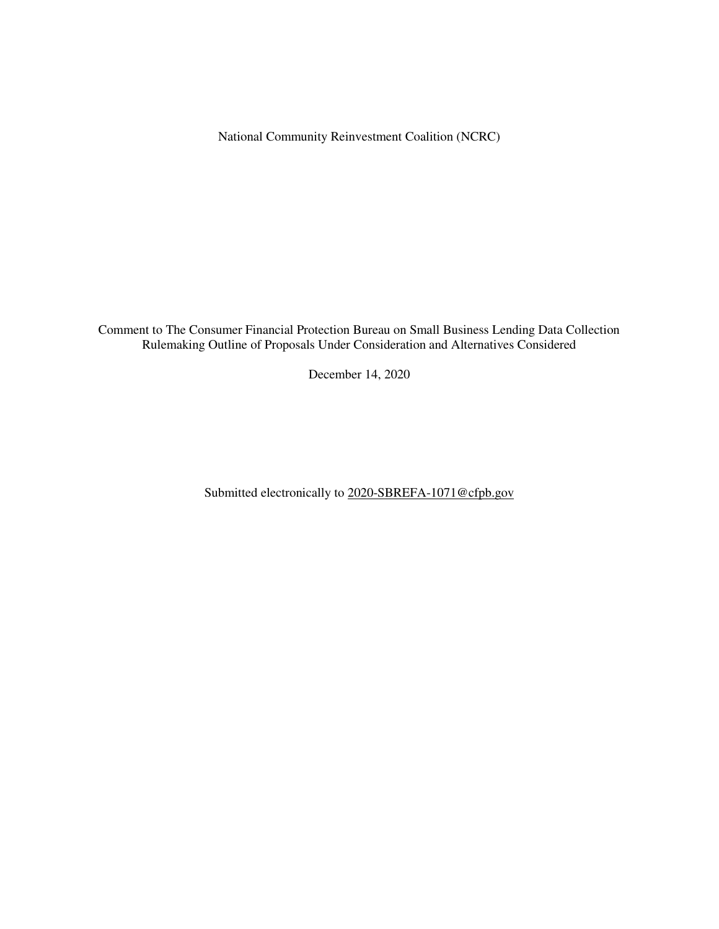National Community Reinvestment Coalition (NCRC)

Comment to The Consumer Financial Protection Bureau on Small Business Lending Data Collection Rulemaking Outline of Proposals Under Consideration and Alternatives Considered

December 14, 2020

Submitted electronically to 2020-SBREFA-1071@cfpb.gov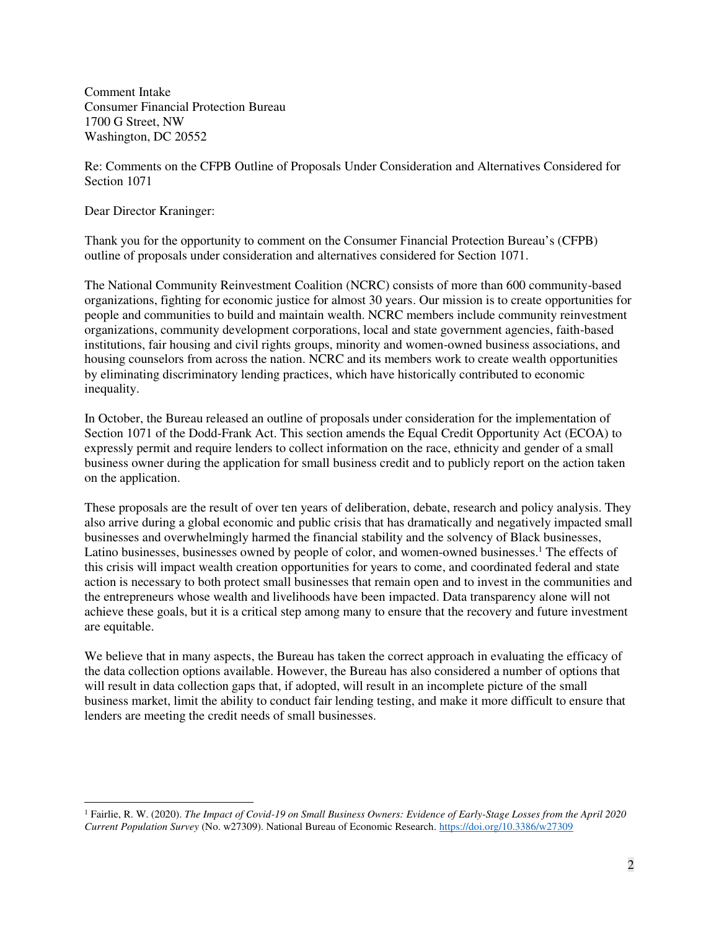Comment Intake Consumer Financial Protection Bureau 1700 G Street, NW Washington, DC 20552

Re: Comments on the CFPB Outline of Proposals Under Consideration and Alternatives Considered for Section 1071

Dear Director Kraninger:

 $\overline{a}$ 

Thank you for the opportunity to comment on the Consumer Financial Protection Bureau's (CFPB) outline of proposals under consideration and alternatives considered for Section 1071.

The National Community Reinvestment Coalition (NCRC) consists of more than 600 community-based organizations, fighting for economic justice for almost 30 years. Our mission is to create opportunities for people and communities to build and maintain wealth. NCRC members include community reinvestment organizations, community development corporations, local and state government agencies, faith-based institutions, fair housing and civil rights groups, minority and women-owned business associations, and housing counselors from across the nation. NCRC and its members work to create wealth opportunities by eliminating discriminatory lending practices, which have historically contributed to economic inequality.

In October, the Bureau released an outline of proposals under consideration for the implementation of Section 1071 of the Dodd-Frank Act. This section amends the Equal Credit Opportunity Act (ECOA) to expressly permit and require lenders to collect information on the race, ethnicity and gender of a small business owner during the application for small business credit and to publicly report on the action taken on the application.

These proposals are the result of over ten years of deliberation, debate, research and policy analysis. They also arrive during a global economic and public crisis that has dramatically and negatively impacted small businesses and overwhelmingly harmed the financial stability and the solvency of Black businesses, Latino businesses, businesses owned by people of color, and women-owned businesses.<sup>1</sup> The effects of this crisis will impact wealth creation opportunities for years to come, and coordinated federal and state action is necessary to both protect small businesses that remain open and to invest in the communities and the entrepreneurs whose wealth and livelihoods have been impacted. Data transparency alone will not achieve these goals, but it is a critical step among many to ensure that the recovery and future investment are equitable.

We believe that in many aspects, the Bureau has taken the correct approach in evaluating the efficacy of the data collection options available. However, the Bureau has also considered a number of options that will result in data collection gaps that, if adopted, will result in an incomplete picture of the small business market, limit the ability to conduct fair lending testing, and make it more difficult to ensure that lenders are meeting the credit needs of small businesses.

<sup>1</sup> Fairlie, R. W. (2020). *The Impact of Covid-19 on Small Business Owners: Evidence of Early-Stage Losses from the April 2020 Current Population Survey* (No. w27309). National Bureau of Economic Research.<https://doi.org/10.3386/w27309>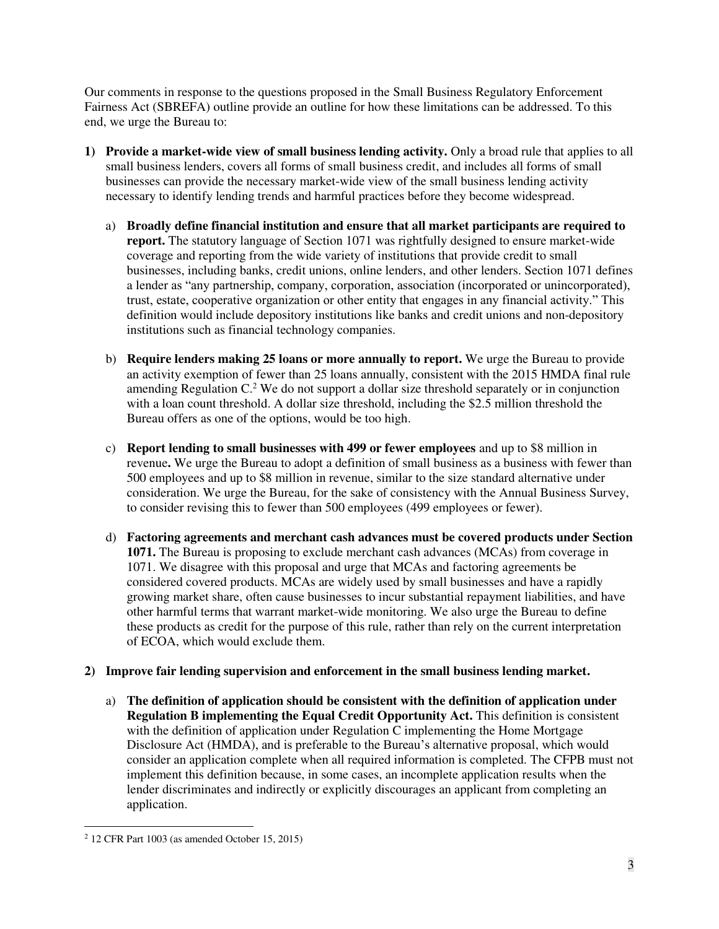Our comments in response to the questions proposed in the Small Business Regulatory Enforcement Fairness Act (SBREFA) outline provide an outline for how these limitations can be addressed. To this end, we urge the Bureau to:

- **1) Provide a market-wide view of small business lending activity.** Only a broad rule that applies to all small business lenders, covers all forms of small business credit, and includes all forms of small businesses can provide the necessary market-wide view of the small business lending activity necessary to identify lending trends and harmful practices before they become widespread.
	- a) **Broadly define financial institution and ensure that all market participants are required to report.** The statutory language of Section 1071 was rightfully designed to ensure market-wide coverage and reporting from the wide variety of institutions that provide credit to small businesses, including banks, credit unions, online lenders, and other lenders. Section 1071 defines a lender as "any partnership, company, corporation, association (incorporated or unincorporated), trust, estate, cooperative organization or other entity that engages in any financial activity." This definition would include depository institutions like banks and credit unions and non-depository institutions such as financial technology companies.
	- b) **Require lenders making 25 loans or more annually to report.** We urge the Bureau to provide an activity exemption of fewer than 25 loans annually, consistent with the 2015 HMDA final rule amending Regulation  $C<sup>2</sup>$  We do not support a dollar size threshold separately or in conjunction with a loan count threshold. A dollar size threshold, including the \$2.5 million threshold the Bureau offers as one of the options, would be too high.
	- c) **Report lending to small businesses with 499 or fewer employees** and up to \$8 million in revenue**.** We urge the Bureau to adopt a definition of small business as a business with fewer than 500 employees and up to \$8 million in revenue, similar to the size standard alternative under consideration. We urge the Bureau, for the sake of consistency with the Annual Business Survey, to consider revising this to fewer than 500 employees (499 employees or fewer).
	- d) **Factoring agreements and merchant cash advances must be covered products under Section 1071.** The Bureau is proposing to exclude merchant cash advances (MCAs) from coverage in 1071. We disagree with this proposal and urge that MCAs and factoring agreements be considered covered products. MCAs are widely used by small businesses and have a rapidly growing market share, often cause businesses to incur substantial repayment liabilities, and have other harmful terms that warrant market-wide monitoring. We also urge the Bureau to define these products as credit for the purpose of this rule, rather than rely on the current interpretation of ECOA, which would exclude them.

# **2) Improve fair lending supervision and enforcement in the small business lending market.**

a) **The definition of application should be consistent with the definition of application under Regulation B implementing the Equal Credit Opportunity Act.** This definition is consistent with the definition of application under Regulation C implementing the Home Mortgage Disclosure Act (HMDA), and is preferable to the Bureau's alternative proposal, which would consider an application complete when all required information is completed. The CFPB must not implement this definition because, in some cases, an incomplete application results when the lender discriminates and indirectly or explicitly discourages an applicant from completing an application.

<sup>2</sup> 12 CFR Part 1003 (as amended October 15, 2015)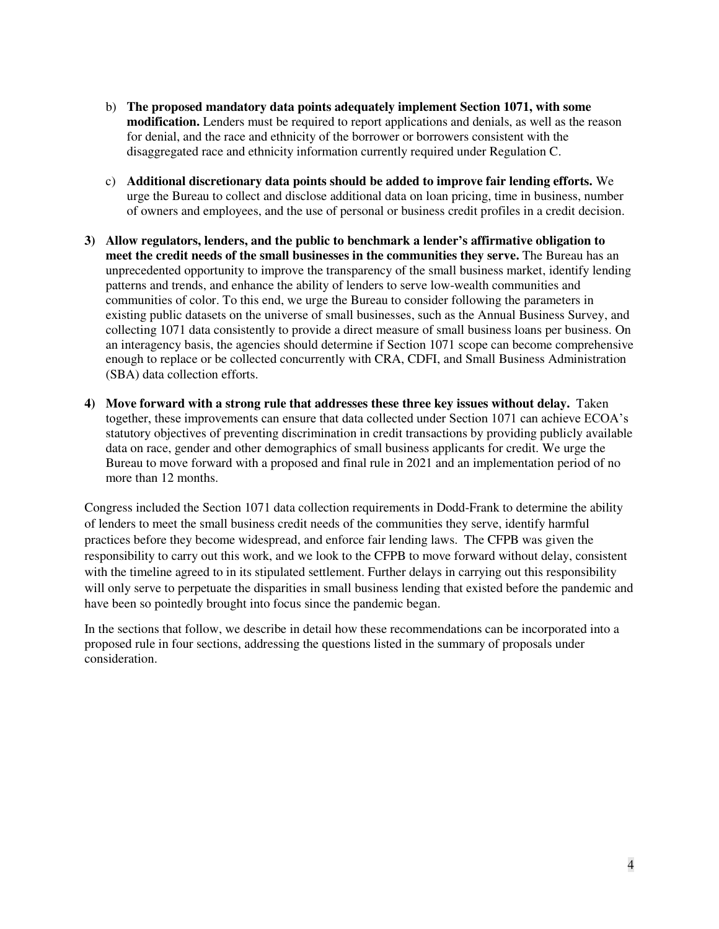- b) **The proposed mandatory data points adequately implement Section 1071, with some modification.** Lenders must be required to report applications and denials, as well as the reason for denial, and the race and ethnicity of the borrower or borrowers consistent with the disaggregated race and ethnicity information currently required under Regulation C.
- c) **Additional discretionary data points should be added to improve fair lending efforts.** We urge the Bureau to collect and disclose additional data on loan pricing, time in business, number of owners and employees, and the use of personal or business credit profiles in a credit decision.
- **3) Allow regulators, lenders, and the public to benchmark a lender's affirmative obligation to meet the credit needs of the small businesses in the communities they serve.** The Bureau has an unprecedented opportunity to improve the transparency of the small business market, identify lending patterns and trends, and enhance the ability of lenders to serve low-wealth communities and communities of color. To this end, we urge the Bureau to consider following the parameters in existing public datasets on the universe of small businesses, such as the Annual Business Survey, and collecting 1071 data consistently to provide a direct measure of small business loans per business. On an interagency basis, the agencies should determine if Section 1071 scope can become comprehensive enough to replace or be collected concurrently with CRA, CDFI, and Small Business Administration (SBA) data collection efforts.
- **4) Move forward with a strong rule that addresses these three key issues without delay.** Taken together, these improvements can ensure that data collected under Section 1071 can achieve ECOA's statutory objectives of preventing discrimination in credit transactions by providing publicly available data on race, gender and other demographics of small business applicants for credit. We urge the Bureau to move forward with a proposed and final rule in 2021 and an implementation period of no more than 12 months.

Congress included the Section 1071 data collection requirements in Dodd-Frank to determine the ability of lenders to meet the small business credit needs of the communities they serve, identify harmful practices before they become widespread, and enforce fair lending laws. The CFPB was given the responsibility to carry out this work, and we look to the CFPB to move forward without delay, consistent with the timeline agreed to in its stipulated settlement. Further delays in carrying out this responsibility will only serve to perpetuate the disparities in small business lending that existed before the pandemic and have been so pointedly brought into focus since the pandemic began.

In the sections that follow, we describe in detail how these recommendations can be incorporated into a proposed rule in four sections, addressing the questions listed in the summary of proposals under consideration.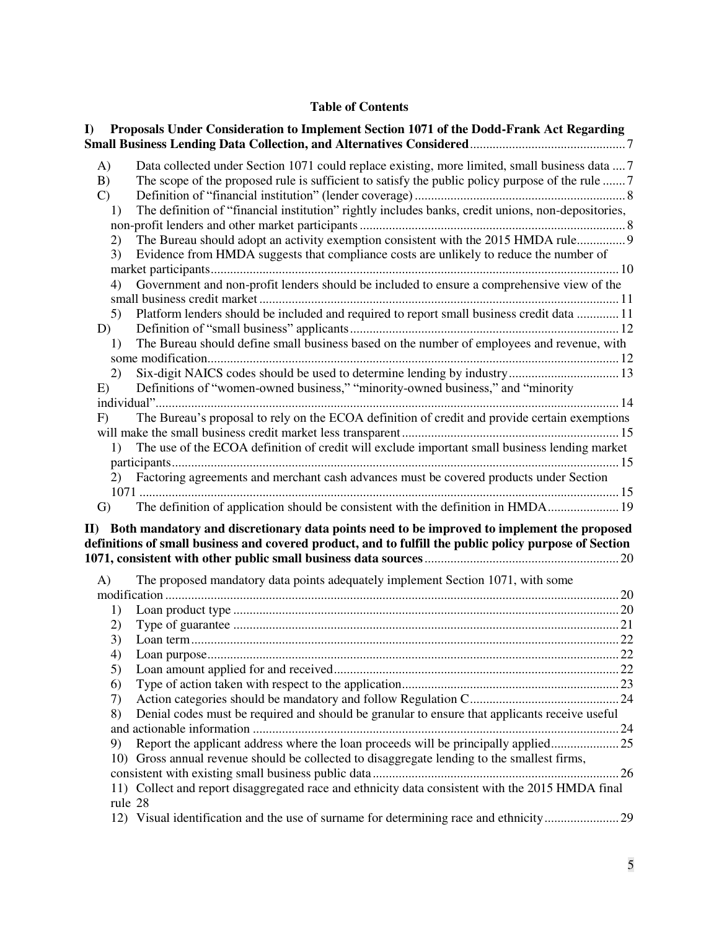## **Table of Contents**

| Proposals Under Consideration to Implement Section 1071 of the Dodd-Frank Act Regarding<br>I)                                                                                                                                   |     |
|---------------------------------------------------------------------------------------------------------------------------------------------------------------------------------------------------------------------------------|-----|
| Data collected under Section 1071 could replace existing, more limited, small business data  7<br>A)<br>The scope of the proposed rule is sufficient to satisfy the public policy purpose of the rule  7<br>B)<br>$\mathcal{C}$ |     |
| The definition of "financial institution" rightly includes banks, credit unions, non-depositories,<br>1)                                                                                                                        |     |
| The Bureau should adopt an activity exemption consistent with the 2015 HMDA rule 9<br>2)<br>3)<br>Evidence from HMDA suggests that compliance costs are unlikely to reduce the number of                                        |     |
| Government and non-profit lenders should be included to ensure a comprehensive view of the<br>4)                                                                                                                                |     |
| Platform lenders should be included and required to report small business credit data  11<br>5)<br>D)                                                                                                                           |     |
| The Bureau should define small business based on the number of employees and revenue, with<br>1)                                                                                                                                |     |
| 2)<br>Definitions of "women-owned business," "minority-owned business," and "minority<br>E)                                                                                                                                     |     |
| The Bureau's proposal to rely on the ECOA definition of credit and provide certain exemptions<br>F)                                                                                                                             |     |
| The use of the ECOA definition of credit will exclude important small business lending market<br>1)                                                                                                                             |     |
| Factoring agreements and merchant cash advances must be covered products under Section<br>2)                                                                                                                                    |     |
| The definition of application should be consistent with the definition in HMDA 19<br>$\mathbf{G}$<br>II) Both mandatory and discretionary data points need to be improved to implement the proposed                             |     |
| definitions of small business and covered product, and to fulfill the public policy purpose of Section                                                                                                                          | .20 |
| The proposed mandatory data points adequately implement Section 1071, with some<br>A)                                                                                                                                           |     |
|                                                                                                                                                                                                                                 |     |
| 1)<br>2)                                                                                                                                                                                                                        |     |
| 3)                                                                                                                                                                                                                              |     |
| 4)                                                                                                                                                                                                                              |     |
| 5)                                                                                                                                                                                                                              |     |
| 6)                                                                                                                                                                                                                              |     |
| 7)                                                                                                                                                                                                                              |     |
| Denial codes must be required and should be granular to ensure that applicants receive useful<br>8)                                                                                                                             |     |
|                                                                                                                                                                                                                                 |     |
| Report the applicant address where the loan proceeds will be principally applied<br>9)                                                                                                                                          |     |
| 10) Gross annual revenue should be collected to disaggregate lending to the smallest firms,                                                                                                                                     |     |
|                                                                                                                                                                                                                                 |     |
| 11) Collect and report disaggregated race and ethnicity data consistent with the 2015 HMDA final<br>rule 28                                                                                                                     |     |
| 12) Visual identification and the use of surname for determining race and ethnicity29                                                                                                                                           |     |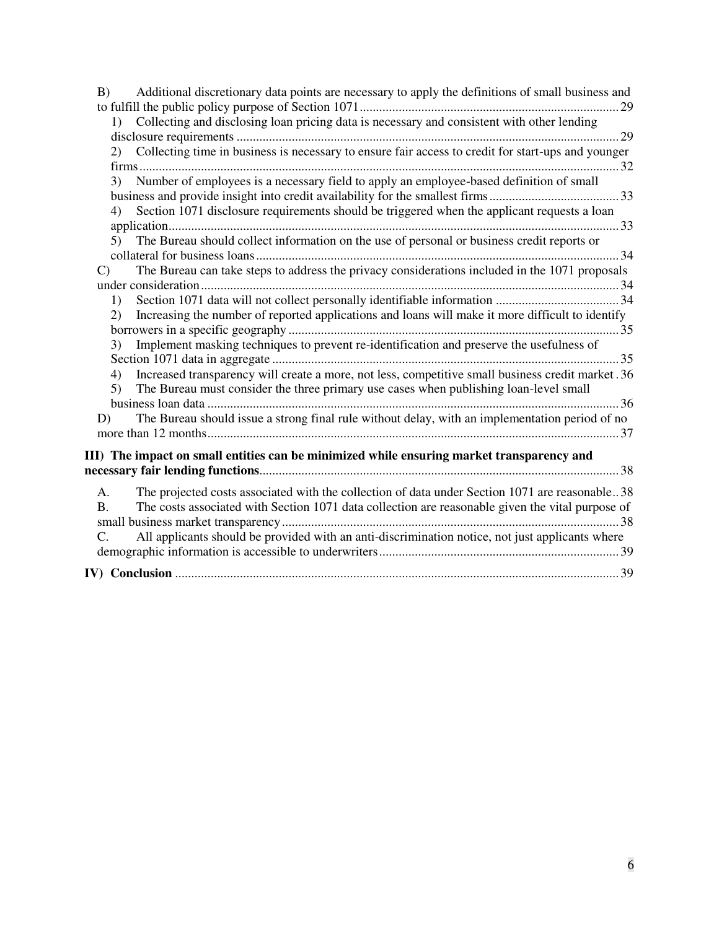| Additional discretionary data points are necessary to apply the definitions of small business and<br>B)            |
|--------------------------------------------------------------------------------------------------------------------|
|                                                                                                                    |
| 1) Collecting and disclosing loan pricing data is necessary and consistent with other lending                      |
|                                                                                                                    |
| Collecting time in business is necessary to ensure fair access to credit for start-ups and younger<br>(2)          |
|                                                                                                                    |
| Number of employees is a necessary field to apply an employee-based definition of small<br>3)                      |
|                                                                                                                    |
| Section 1071 disclosure requirements should be triggered when the applicant requests a loan<br>4)                  |
|                                                                                                                    |
| The Bureau should collect information on the use of personal or business credit reports or<br>5)                   |
|                                                                                                                    |
| The Bureau can take steps to address the privacy considerations included in the 1071 proposals<br>$\mathbf{C}$     |
|                                                                                                                    |
| 1)<br>Increasing the number of reported applications and loans will make it more difficult to identify<br>2)       |
|                                                                                                                    |
| Implement masking techniques to prevent re-identification and preserve the usefulness of<br>3)                     |
|                                                                                                                    |
| Increased transparency will create a more, not less, competitive small business credit market. 36<br>4)            |
| The Bureau must consider the three primary use cases when publishing loan-level small<br>5)                        |
|                                                                                                                    |
| The Bureau should issue a strong final rule without delay, with an implementation period of no<br>D)               |
|                                                                                                                    |
|                                                                                                                    |
| III) The impact on small entities can be minimized while ensuring market transparency and                          |
|                                                                                                                    |
| The projected costs associated with the collection of data under Section 1071 are reasonable38<br>A.               |
| The costs associated with Section 1071 data collection are reasonable given the vital purpose of<br><b>B.</b>      |
|                                                                                                                    |
| All applicants should be provided with an anti-discrimination notice, not just applicants where<br>$\mathcal{C}$ . |
|                                                                                                                    |
|                                                                                                                    |
|                                                                                                                    |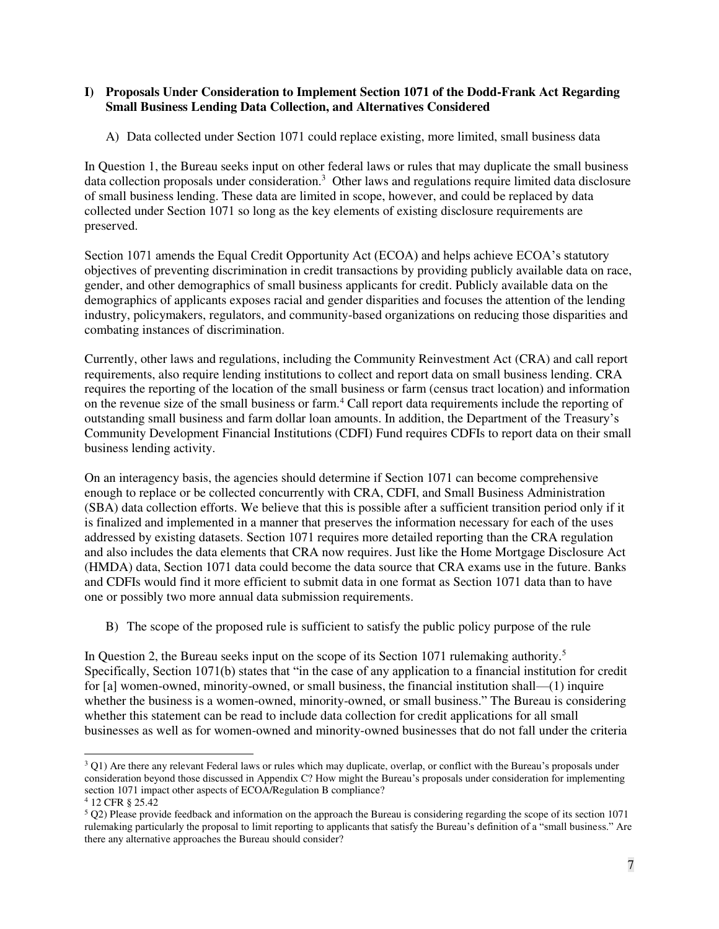#### <span id="page-6-0"></span>**I) Proposals Under Consideration to Implement Section 1071 of the Dodd-Frank Act Regarding Small Business Lending Data Collection, and Alternatives Considered**

<span id="page-6-1"></span>A) Data collected under Section 1071 could replace existing, more limited, small business data

In Question 1, the Bureau seeks input on other federal laws or rules that may duplicate the small business data collection proposals under consideration.<sup>3</sup> Other laws and regulations require limited data disclosure of small business lending. These data are limited in scope, however, and could be replaced by data collected under Section 1071 so long as the key elements of existing disclosure requirements are preserved.

Section 1071 amends the Equal Credit Opportunity Act (ECOA) and helps achieve ECOA's statutory objectives of preventing discrimination in credit transactions by providing publicly available data on race, gender, and other demographics of small business applicants for credit. Publicly available data on the demographics of applicants exposes racial and gender disparities and focuses the attention of the lending industry, policymakers, regulators, and community-based organizations on reducing those disparities and combating instances of discrimination.

Currently, other laws and regulations, including the Community Reinvestment Act (CRA) and call report requirements, also require lending institutions to collect and report data on small business lending. CRA requires the reporting of the location of the small business or farm (census tract location) and information on the revenue size of the small business or farm.<sup>4</sup> Call report data requirements include the reporting of outstanding small business and farm dollar loan amounts. In addition, the Department of the Treasury's Community Development Financial Institutions (CDFI) Fund requires CDFIs to report data on their small business lending activity.

On an interagency basis, the agencies should determine if Section 1071 can become comprehensive enough to replace or be collected concurrently with CRA, CDFI, and Small Business Administration (SBA) data collection efforts. We believe that this is possible after a sufficient transition period only if it is finalized and implemented in a manner that preserves the information necessary for each of the uses addressed by existing datasets. Section 1071 requires more detailed reporting than the CRA regulation and also includes the data elements that CRA now requires. Just like the Home Mortgage Disclosure Act (HMDA) data, Section 1071 data could become the data source that CRA exams use in the future. Banks and CDFIs would find it more efficient to submit data in one format as Section 1071 data than to have one or possibly two more annual data submission requirements.

<span id="page-6-2"></span>B) The scope of the proposed rule is sufficient to satisfy the public policy purpose of the rule

In Question 2, the Bureau seeks input on the scope of its Section 1071 rulemaking authority.<sup>5</sup> Specifically, Section 1071(b) states that "in the case of any application to a financial institution for credit for [a] women-owned, minority-owned, or small business, the financial institution shall—(1) inquire whether the business is a women-owned, minority-owned, or small business." The Bureau is considering whether this statement can be read to include data collection for credit applications for all small businesses as well as for women-owned and minority-owned businesses that do not fall under the criteria

 $3$  Q1) Are there any relevant Federal laws or rules which may duplicate, overlap, or conflict with the Bureau's proposals under consideration beyond those discussed in Appendix C? How might the Bureau's proposals under consideration for implementing section 1071 impact other aspects of ECOA/Regulation B compliance?

<sup>4</sup> 12 CFR § 25.42

 $5 Q2$ ) Please provide feedback and information on the approach the Bureau is considering regarding the scope of its section 1071 rulemaking particularly the proposal to limit reporting to applicants that satisfy the Bureau's definition of a "small business." Are there any alternative approaches the Bureau should consider?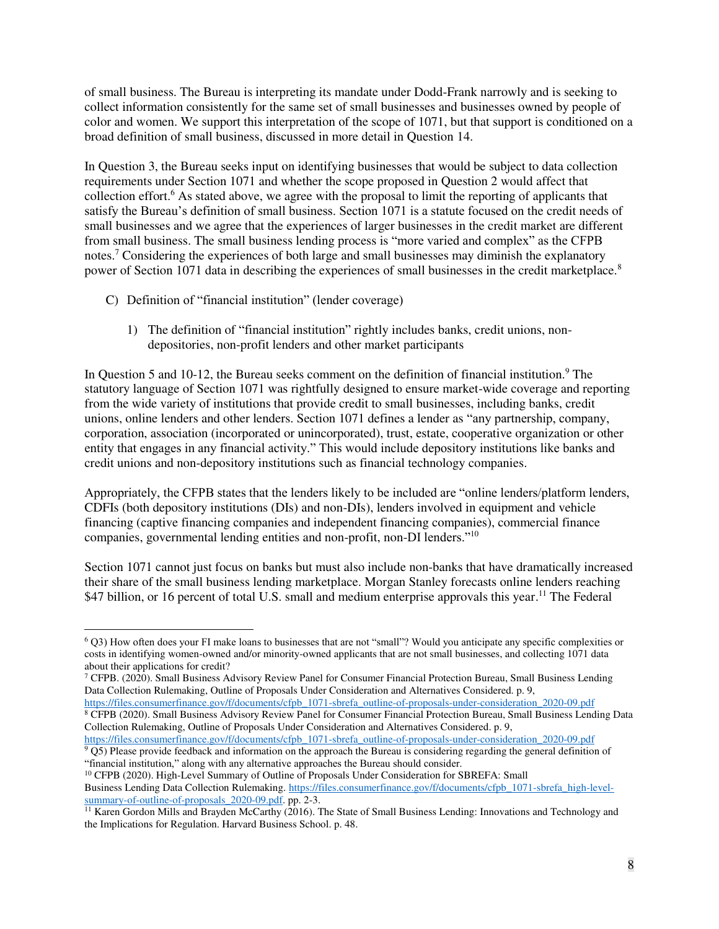of small business. The Bureau is interpreting its mandate under Dodd-Frank narrowly and is seeking to collect information consistently for the same set of small businesses and businesses owned by people of color and women. We support this interpretation of the scope of 1071, but that support is conditioned on a broad definition of small business, discussed in more detail in Question 14.

In Question 3, the Bureau seeks input on identifying businesses that would be subject to data collection requirements under Section 1071 and whether the scope proposed in Question 2 would affect that collection effort.<sup>6</sup> As stated above, we agree with the proposal to limit the reporting of applicants that satisfy the Bureau's definition of small business. Section 1071 is a statute focused on the credit needs of small businesses and we agree that the experiences of larger businesses in the credit market are different from small business. The small business lending process is "more varied and complex" as the CFPB notes.<sup>7</sup> Considering the experiences of both large and small businesses may diminish the explanatory power of Section 1071 data in describing the experiences of small businesses in the credit marketplace.<sup>8</sup>

- <span id="page-7-1"></span><span id="page-7-0"></span>C) Definition of "financial institution" (lender coverage)
	- 1) The definition of "financial institution" rightly includes banks, credit unions, nondepositories, non-profit lenders and other market participants

In Question 5 and 10-12, the Bureau seeks comment on the definition of financial institution.<sup>9</sup> The statutory language of Section 1071 was rightfully designed to ensure market-wide coverage and reporting from the wide variety of institutions that provide credit to small businesses, including banks, credit unions, online lenders and other lenders. Section 1071 defines a lender as "any partnership, company, corporation, association (incorporated or unincorporated), trust, estate, cooperative organization or other entity that engages in any financial activity." This would include depository institutions like banks and credit unions and non-depository institutions such as financial technology companies.

Appropriately, the CFPB states that the lenders likely to be included are "online lenders/platform lenders, CDFIs (both depository institutions (DIs) and non-DIs), lenders involved in equipment and vehicle financing (captive financing companies and independent financing companies), commercial finance companies, governmental lending entities and non-profit, non-DI lenders."<sup>10</sup>

Section 1071 cannot just focus on banks but must also include non-banks that have dramatically increased their share of the small business lending marketplace. Morgan Stanley forecasts online lenders reaching \$47 billion, or 16 percent of total U.S. small and medium enterprise approvals this year.<sup>11</sup> The Federal

<sup>10</sup> CFPB (2020). High-Level Summary of Outline of Proposals Under Consideration for SBREFA: Small Business Lending Data Collection Rulemaking. [https://files.consumerfinance.gov/f/documents/cfpb\\_1071-sbrefa\\_high-level](https://files.consumerfinance.gov/f/documents/cfpb_1071-sbrefa_high-level-summary-of-outline-of-proposals_2020-09.pdf)[summary-of-outline-of-proposals\\_2020-09.pdf.](https://files.consumerfinance.gov/f/documents/cfpb_1071-sbrefa_high-level-summary-of-outline-of-proposals_2020-09.pdf) pp. 2-3.

 $\overline{a}$ <sup>6</sup> Q3) How often does your FI make loans to businesses that are not "small"? Would you anticipate any specific complexities or costs in identifying women-owned and/or minority-owned applicants that are not small businesses, and collecting 1071 data about their applications for credit?

<sup>7</sup> CFPB. (2020). Small Business Advisory Review Panel for Consumer Financial Protection Bureau, Small Business Lending Data Collection Rulemaking, Outline of Proposals Under Consideration and Alternatives Considered. p. 9, [https://files.consumerfinance.gov/f/documents/cfpb\\_1071-sbrefa\\_outline-of-proposals-under-consideration\\_2020-09.pdf](https://files.consumerfinance.gov/f/documents/cfpb_1071-sbrefa_outline-of-proposals-under-consideration_2020-09.pdf)

<sup>8</sup> CFPB (2020). Small Business Advisory Review Panel for Consumer Financial Protection Bureau, Small Business Lending Data Collection Rulemaking, Outline of Proposals Under Consideration and Alternatives Considered. p. 9,

[https://files.consumerfinance.gov/f/documents/cfpb\\_1071-sbrefa\\_outline-of-proposals-under-consideration\\_2020-09.pdf](https://files.consumerfinance.gov/f/documents/cfpb_1071-sbrefa_outline-of-proposals-under-consideration_2020-09.pdf) <sup>9</sup> Q5) Please provide feedback and information on the approach the Bureau is considering regarding the general definition of "financial institution," along with any alternative approaches the Bureau should consider.

<sup>&</sup>lt;sup>11</sup> Karen Gordon Mills and Brayden McCarthy (2016). The State of Small Business Lending: Innovations and Technology and the Implications for Regulation. Harvard Business School. p. 48.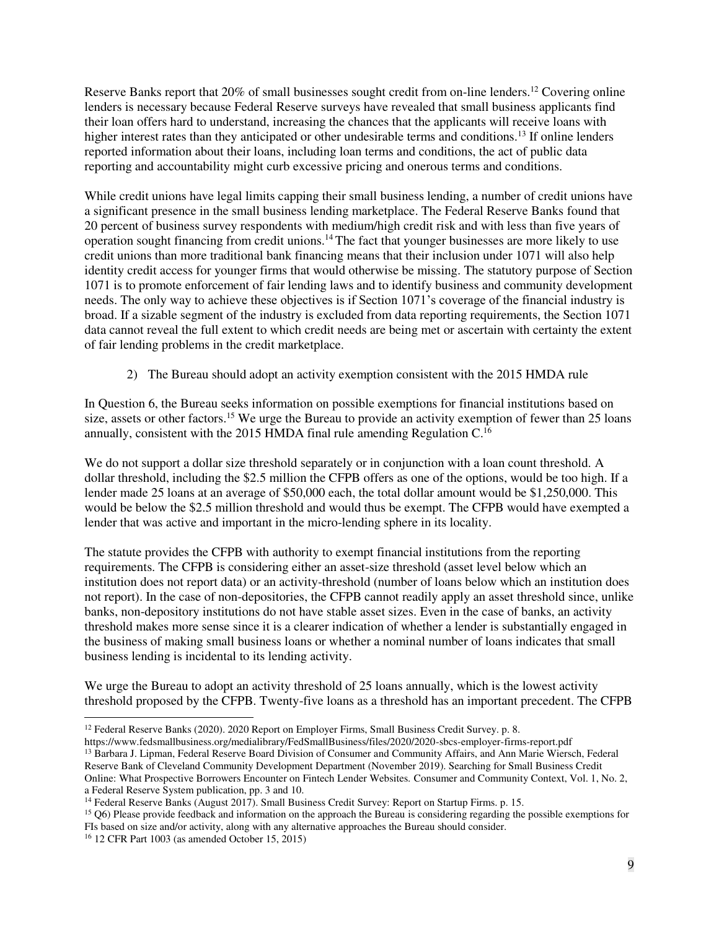Reserve Banks report that 20% of small businesses sought credit from on-line lenders.<sup>12</sup> Covering online lenders is necessary because Federal Reserve surveys have revealed that small business applicants find their loan offers hard to understand, increasing the chances that the applicants will receive loans with higher interest rates than they anticipated or other undesirable terms and conditions.<sup>13</sup> If online lenders reported information about their loans, including loan terms and conditions, the act of public data reporting and accountability might curb excessive pricing and onerous terms and conditions.

While credit unions have legal limits capping their small business lending, a number of credit unions have a significant presence in the small business lending marketplace. The Federal Reserve Banks found that 20 percent of business survey respondents with medium/high credit risk and with less than five years of operation sought financing from credit unions.<sup>14</sup>The fact that younger businesses are more likely to use credit unions than more traditional bank financing means that their inclusion under 1071 will also help identity credit access for younger firms that would otherwise be missing. The statutory purpose of Section 1071 is to promote enforcement of fair lending laws and to identify business and community development needs. The only way to achieve these objectives is if Section 1071's coverage of the financial industry is broad. If a sizable segment of the industry is excluded from data reporting requirements, the Section 1071 data cannot reveal the full extent to which credit needs are being met or ascertain with certainty the extent of fair lending problems in the credit marketplace.

2) The Bureau should adopt an activity exemption consistent with the 2015 HMDA rule

<span id="page-8-0"></span>In Question 6, the Bureau seeks information on possible exemptions for financial institutions based on size, assets or other factors.<sup>15</sup> We urge the Bureau to provide an activity exemption of fewer than 25 loans annually, consistent with the 2015 HMDA final rule amending Regulation  $C<sup>16</sup>$ 

We do not support a dollar size threshold separately or in conjunction with a loan count threshold. A dollar threshold, including the \$2.5 million the CFPB offers as one of the options, would be too high. If a lender made 25 loans at an average of \$50,000 each, the total dollar amount would be \$1,250,000. This would be below the \$2.5 million threshold and would thus be exempt. The CFPB would have exempted a lender that was active and important in the micro-lending sphere in its locality.

The statute provides the CFPB with authority to exempt financial institutions from the reporting requirements. The CFPB is considering either an asset-size threshold (asset level below which an institution does not report data) or an activity-threshold (number of loans below which an institution does not report). In the case of non-depositories, the CFPB cannot readily apply an asset threshold since, unlike banks, non-depository institutions do not have stable asset sizes. Even in the case of banks, an activity threshold makes more sense since it is a clearer indication of whether a lender is substantially engaged in the business of making small business loans or whether a nominal number of loans indicates that small business lending is incidental to its lending activity.

We urge the Bureau to adopt an activity threshold of 25 loans annually, which is the lowest activity threshold proposed by the CFPB. Twenty-five loans as a threshold has an important precedent. The CFPB

<sup>&</sup>lt;sup>12</sup> Federal Reserve Banks (2020). 2020 Report on Employer Firms, Small Business Credit Survey. p. 8.

https://www.fedsmallbusiness.org/medialibrary/FedSmallBusiness/files/2020/2020-sbcs-employer-firms-report.pdf <sup>13</sup> Barbara J. Lipman, Federal Reserve Board Division of Consumer and Community Affairs, and Ann Marie Wiersch, Federal Reserve Bank of Cleveland Community Development Department (November 2019). Searching for Small Business Credit Online: What Prospective Borrowers Encounter on Fintech Lender Websites*.* Consumer and Community Context, Vol. 1, No. 2, a Federal Reserve System publication, pp. 3 and 10.

<sup>&</sup>lt;sup>14</sup> Federal Reserve Banks (August 2017). Small Business Credit Survey: Report on Startup Firms. p. 15.

<sup>15</sup> Q6) Please provide feedback and information on the approach the Bureau is considering regarding the possible exemptions for FIs based on size and/or activity, along with any alternative approaches the Bureau should consider.

<sup>16</sup> 12 CFR Part 1003 (as amended October 15, 2015)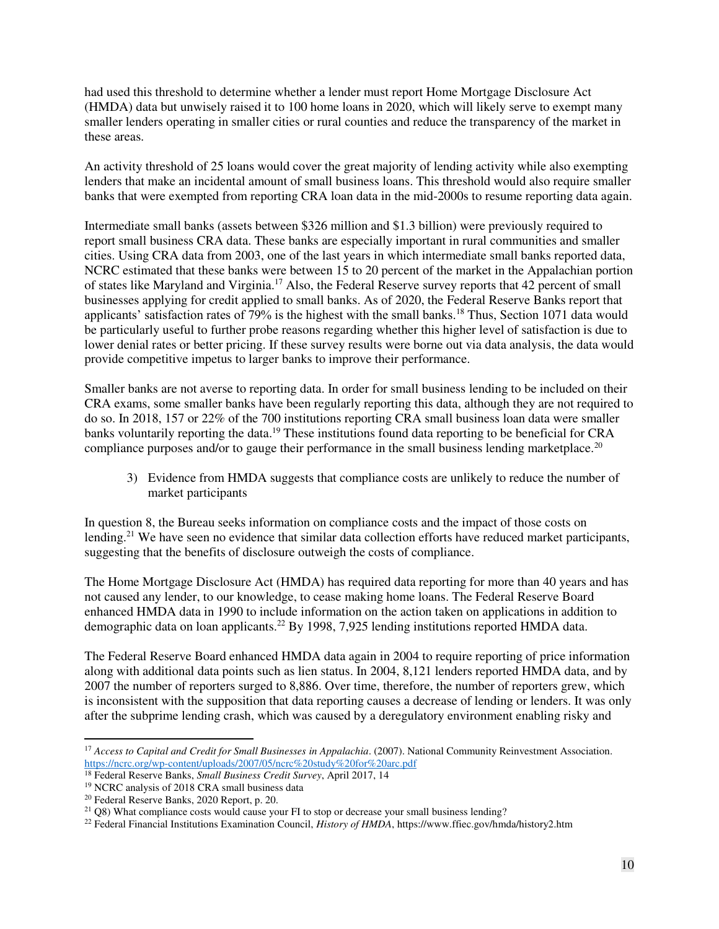had used this threshold to determine whether a lender must report Home Mortgage Disclosure Act (HMDA) data but unwisely raised it to 100 home loans in 2020, which will likely serve to exempt many smaller lenders operating in smaller cities or rural counties and reduce the transparency of the market in these areas.

An activity threshold of 25 loans would cover the great majority of lending activity while also exempting lenders that make an incidental amount of small business loans. This threshold would also require smaller banks that were exempted from reporting CRA loan data in the mid-2000s to resume reporting data again.

Intermediate small banks (assets between \$326 million and \$1.3 billion) were previously required to report small business CRA data. These banks are especially important in rural communities and smaller cities. Using CRA data from 2003, one of the last years in which intermediate small banks reported data, NCRC estimated that these banks were between 15 to 20 percent of the market in the Appalachian portion of states like Maryland and Virginia.<sup>17</sup> Also, the Federal Reserve survey reports that 42 percent of small businesses applying for credit applied to small banks. As of 2020, the Federal Reserve Banks report that applicants' satisfaction rates of 79% is the highest with the small banks.<sup>18</sup> Thus, Section 1071 data would be particularly useful to further probe reasons regarding whether this higher level of satisfaction is due to lower denial rates or better pricing. If these survey results were borne out via data analysis, the data would provide competitive impetus to larger banks to improve their performance.

Smaller banks are not averse to reporting data. In order for small business lending to be included on their CRA exams, some smaller banks have been regularly reporting this data, although they are not required to do so. In 2018, 157 or 22% of the 700 institutions reporting CRA small business loan data were smaller banks voluntarily reporting the data.<sup>19</sup> These institutions found data reporting to be beneficial for CRA compliance purposes and/or to gauge their performance in the small business lending marketplace.<sup>20</sup>

3) Evidence from HMDA suggests that compliance costs are unlikely to reduce the number of market participants

<span id="page-9-0"></span>In question 8, the Bureau seeks information on compliance costs and the impact of those costs on lending.<sup>21</sup> We have seen no evidence that similar data collection efforts have reduced market participants, suggesting that the benefits of disclosure outweigh the costs of compliance.

The Home Mortgage Disclosure Act (HMDA) has required data reporting for more than 40 years and has not caused any lender, to our knowledge, to cease making home loans. The Federal Reserve Board enhanced HMDA data in 1990 to include information on the action taken on applications in addition to demographic data on loan applicants.<sup>22</sup> By 1998, 7,925 lending institutions reported HMDA data.

The Federal Reserve Board enhanced HMDA data again in 2004 to require reporting of price information along with additional data points such as lien status. In 2004, 8,121 lenders reported HMDA data, and by 2007 the number of reporters surged to 8,886. Over time, therefore, the number of reporters grew, which is inconsistent with the supposition that data reporting causes a decrease of lending or lenders. It was only after the subprime lending crash, which was caused by a deregulatory environment enabling risky and

 $\overline{a}$ <sup>17</sup> *Access to Capital and Credit for Small Businesses in Appalachia.* (2007). National Community Reinvestment Association. <https://ncrc.org/wp-content/uploads/2007/05/ncrc%20study%20for%20arc.pdf>

<sup>18</sup> Federal Reserve Banks, *Small Business Credit Survey*, April 2017, 14

<sup>&</sup>lt;sup>19</sup> NCRC analysis of 2018 CRA small business data

<sup>20</sup> Federal Reserve Banks, 2020 Report, p. 20.

<sup>&</sup>lt;sup>21</sup> Q8) What compliance costs would cause your FI to stop or decrease your small business lending?

<sup>22</sup> Federal Financial Institutions Examination Council, *History of HMDA*, https://www.ffiec.gov/hmda/history2.htm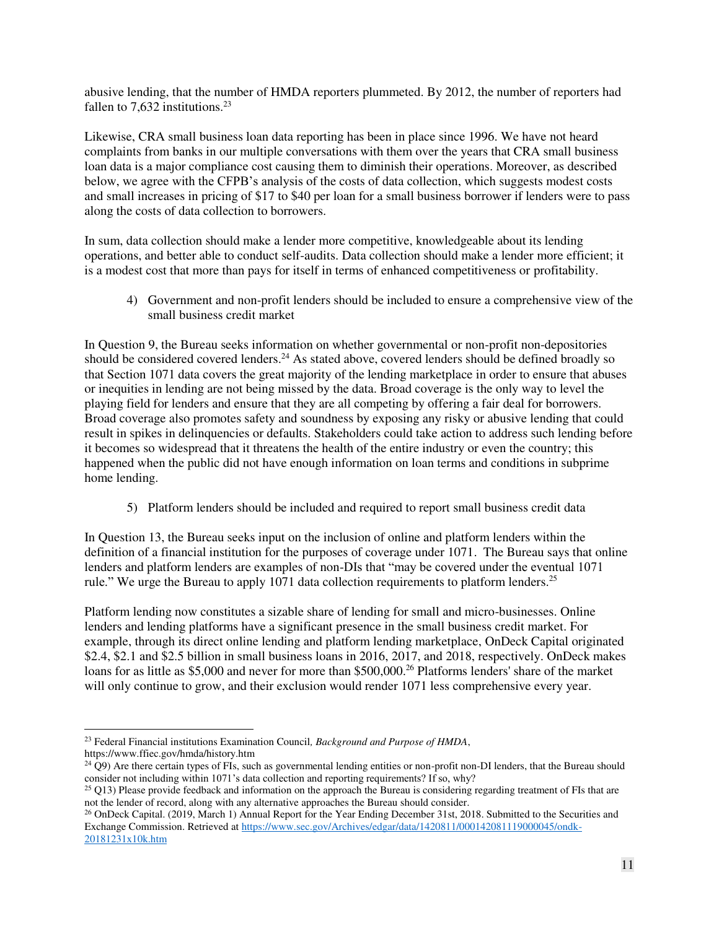abusive lending, that the number of HMDA reporters plummeted. By 2012, the number of reporters had fallen to 7,632 institutions.<sup>23</sup>

Likewise, CRA small business loan data reporting has been in place since 1996. We have not heard complaints from banks in our multiple conversations with them over the years that CRA small business loan data is a major compliance cost causing them to diminish their operations. Moreover, as described below, we agree with the CFPB's analysis of the costs of data collection, which suggests modest costs and small increases in pricing of \$17 to \$40 per loan for a small business borrower if lenders were to pass along the costs of data collection to borrowers.

In sum, data collection should make a lender more competitive, knowledgeable about its lending operations, and better able to conduct self-audits. Data collection should make a lender more efficient; it is a modest cost that more than pays for itself in terms of enhanced competitiveness or profitability.

<span id="page-10-0"></span>4) Government and non-profit lenders should be included to ensure a comprehensive view of the small business credit market

In Question 9, the Bureau seeks information on whether governmental or non-profit non-depositories should be considered covered lenders.<sup>24</sup> As stated above, covered lenders should be defined broadly so that Section 1071 data covers the great majority of the lending marketplace in order to ensure that abuses or inequities in lending are not being missed by the data. Broad coverage is the only way to level the playing field for lenders and ensure that they are all competing by offering a fair deal for borrowers. Broad coverage also promotes safety and soundness by exposing any risky or abusive lending that could result in spikes in delinquencies or defaults. Stakeholders could take action to address such lending before it becomes so widespread that it threatens the health of the entire industry or even the country; this happened when the public did not have enough information on loan terms and conditions in subprime home lending.

5) Platform lenders should be included and required to report small business credit data

<span id="page-10-1"></span>In Question 13, the Bureau seeks input on the inclusion of online and platform lenders within the definition of a financial institution for the purposes of coverage under 1071. The Bureau says that online lenders and platform lenders are examples of non-DIs that "may be covered under the eventual 1071 rule." We urge the Bureau to apply 1071 data collection requirements to platform lenders.<sup>25</sup>

Platform lending now constitutes a sizable share of lending for small and micro-businesses. Online lenders and lending platforms have a significant presence in the small business credit market. For example, through its direct online lending and platform lending marketplace, OnDeck Capital originated \$2.4, \$2.1 and \$2.5 billion in small business loans in 2016, 2017, and 2018, respectively. OnDeck makes loans for as little as \$5,000 and never for more than \$500,000.<sup>26</sup> Platforms lenders' share of the market will only continue to grow, and their exclusion would render 1071 less comprehensive every year.

 $\ddot{\phantom{a}}$ <sup>23</sup> Federal Financial institutions Examination Council*, Background and Purpose of HMDA*,

https://www.ffiec.gov/hmda/history.htm

 $24$  Q9) Are there certain types of FIs, such as governmental lending entities or non-profit non-DI lenders, that the Bureau should consider not including within 1071's data collection and reporting requirements? If so, why?

 $25$  Q13) Please provide feedback and information on the approach the Bureau is considering regarding treatment of FIs that are not the lender of record, along with any alternative approaches the Bureau should consider.

<sup>&</sup>lt;sup>26</sup> OnDeck Capital. (2019, March 1) Annual Report for the Year Ending December 31st, 2018. Submitted to the Securities and Exchange Commission. Retrieved a[t https://www.sec.gov/Archives/edgar/data/1420811/000142081119000045/ondk-](https://www.sec.gov/Archives/edgar/data/1420811/000142081119000045/ondk-20181231x10k.htm)[20181231x10k.htm](https://www.sec.gov/Archives/edgar/data/1420811/000142081119000045/ondk-20181231x10k.htm)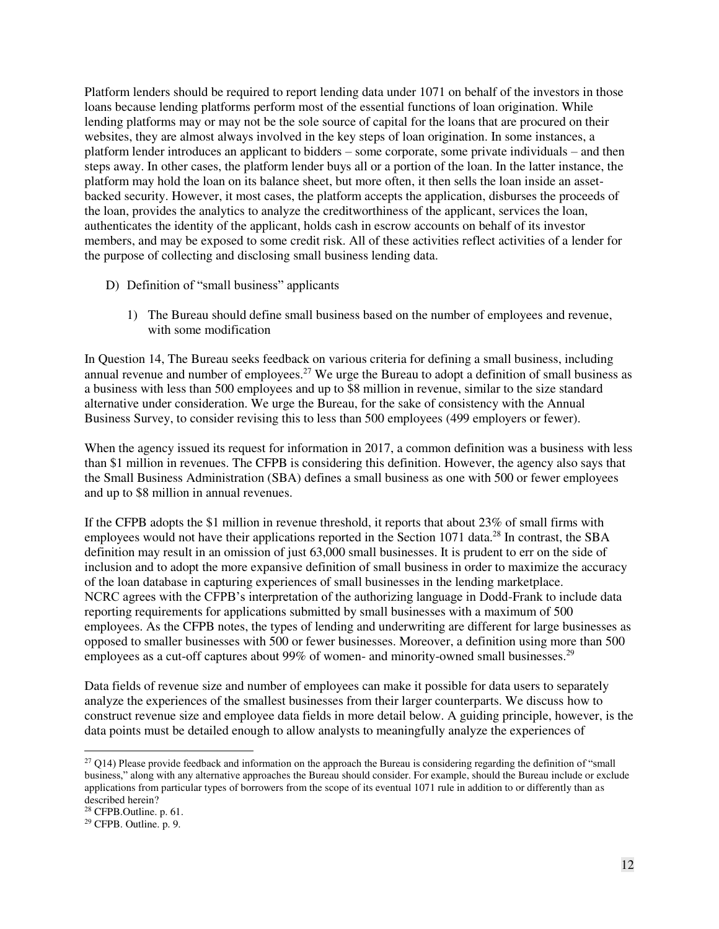Platform lenders should be required to report lending data under 1071 on behalf of the investors in those loans because lending platforms perform most of the essential functions of loan origination. While lending platforms may or may not be the sole source of capital for the loans that are procured on their websites, they are almost always involved in the key steps of loan origination. In some instances, a platform lender introduces an applicant to bidders – some corporate, some private individuals – and then steps away. In other cases, the platform lender buys all or a portion of the loan. In the latter instance, the platform may hold the loan on its balance sheet, but more often, it then sells the loan inside an assetbacked security. However, it most cases, the platform accepts the application, disburses the proceeds of the loan, provides the analytics to analyze the creditworthiness of the applicant, services the loan, authenticates the identity of the applicant, holds cash in escrow accounts on behalf of its investor members, and may be exposed to some credit risk. All of these activities reflect activities of a lender for the purpose of collecting and disclosing small business lending data.

- <span id="page-11-1"></span><span id="page-11-0"></span>D) Definition of "small business" applicants
	- 1) The Bureau should define small business based on the number of employees and revenue, with some modification

In Question 14, The Bureau seeks feedback on various criteria for defining a small business, including annual revenue and number of employees.<sup>27</sup> We urge the Bureau to adopt a definition of small business as a business with less than 500 employees and up to \$8 million in revenue, similar to the size standard alternative under consideration. We urge the Bureau, for the sake of consistency with the Annual Business Survey, to consider revising this to less than 500 employees (499 employers or fewer).

When the agency issued its request for information in 2017, a common definition was a business with less than \$1 million in revenues. The CFPB is considering this definition. However, the agency also says that the Small Business Administration (SBA) defines a small business as one with 500 or fewer employees and up to \$8 million in annual revenues.

If the CFPB adopts the \$1 million in revenue threshold, it reports that about 23% of small firms with employees would not have their applications reported in the Section 1071 data.<sup>28</sup> In contrast, the SBA definition may result in an omission of just 63,000 small businesses. It is prudent to err on the side of inclusion and to adopt the more expansive definition of small business in order to maximize the accuracy of the loan database in capturing experiences of small businesses in the lending marketplace. NCRC agrees with the CFPB's interpretation of the authorizing language in Dodd-Frank to include data reporting requirements for applications submitted by small businesses with a maximum of 500 employees. As the CFPB notes, the types of lending and underwriting are different for large businesses as opposed to smaller businesses with 500 or fewer businesses. Moreover, a definition using more than 500 employees as a cut-off captures about 99% of women- and minority-owned small businesses.<sup>29</sup>

Data fields of revenue size and number of employees can make it possible for data users to separately analyze the experiences of the smallest businesses from their larger counterparts. We discuss how to construct revenue size and employee data fields in more detail below. A guiding principle, however, is the data points must be detailed enough to allow analysts to meaningfully analyze the experiences of

 $27$  Q14) Please provide feedback and information on the approach the Bureau is considering regarding the definition of "small" business," along with any alternative approaches the Bureau should consider. For example, should the Bureau include or exclude applications from particular types of borrowers from the scope of its eventual 1071 rule in addition to or differently than as described herein?

<sup>28</sup> CFPB.Outline. p. 61.

<sup>29</sup> CFPB. Outline. p. 9.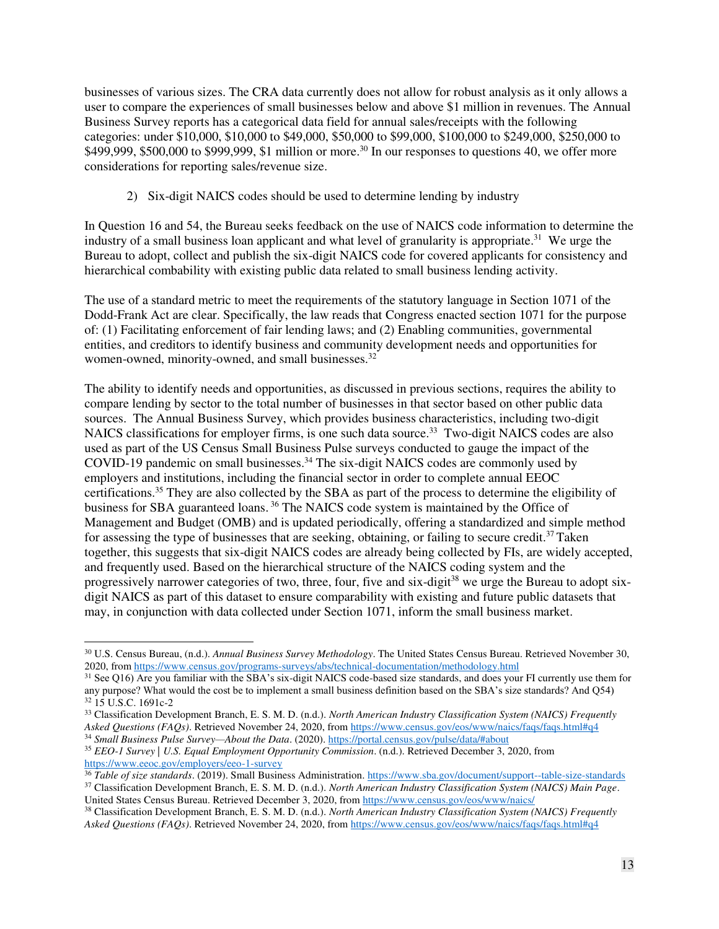businesses of various sizes. The CRA data currently does not allow for robust analysis as it only allows a user to compare the experiences of small businesses below and above \$1 million in revenues. The Annual Business Survey reports has a categorical data field for annual sales/receipts with the following categories: under \$10,000, \$10,000 to \$49,000, \$50,000 to \$99,000, \$100,000 to \$249,000, \$250,000 to  $$499,999, $500,000$  to  $$999,999, $1$  million or more.<sup>30</sup> In our responses to questions 40, we offer more considerations for reporting sales/revenue size.

2) Six-digit NAICS codes should be used to determine lending by industry

<span id="page-12-0"></span>In Question 16 and 54, the Bureau seeks feedback on the use of NAICS code information to determine the industry of a small business loan applicant and what level of granularity is appropriate.<sup>31</sup> We urge the Bureau to adopt, collect and publish the six-digit NAICS code for covered applicants for consistency and hierarchical combability with existing public data related to small business lending activity.

The use of a standard metric to meet the requirements of the statutory language in Section 1071 of the Dodd-Frank Act are clear. Specifically, the law reads that Congress enacted section 1071 for the purpose of: (1) Facilitating enforcement of fair lending laws; and (2) Enabling communities, governmental entities, and creditors to identify business and community development needs and opportunities for women-owned, minority-owned, and small businesses.<sup>32</sup>

The ability to identify needs and opportunities, as discussed in previous sections, requires the ability to compare lending by sector to the total number of businesses in that sector based on other public data sources. The Annual Business Survey, which provides business characteristics, including two-digit NAICS classifications for employer firms, is one such data source.<sup>33</sup> Two-digit NAICS codes are also used as part of the US Census Small Business Pulse surveys conducted to gauge the impact of the COVID-19 pandemic on small businesses.<sup>34</sup> The six-digit NAICS codes are commonly used by employers and institutions, including the financial sector in order to complete annual EEOC certifications.<sup>35</sup> They are also collected by the SBA as part of the process to determine the eligibility of business for SBA guaranteed loans.<sup>36</sup> The NAICS code system is maintained by the Office of Management and Budget (OMB) and is updated periodically, offering a standardized and simple method for assessing the type of businesses that are seeking, obtaining, or failing to secure credit.<sup>37</sup> Taken together, this suggests that six-digit NAICS codes are already being collected by FIs, are widely accepted, and frequently used. Based on the hierarchical structure of the NAICS coding system and the progressively narrower categories of two, three, four, five and six-digit<sup>38</sup> we urge the Bureau to adopt sixdigit NAICS as part of this dataset to ensure comparability with existing and future public datasets that may, in conjunction with data collected under Section 1071, inform the small business market.

 $\overline{a}$ <sup>30</sup> U.S. Census Bureau, (n.d.). *Annual Business Survey Methodology*. The United States Census Bureau. Retrieved November 30, 2020, fro[m https://www.census.gov/programs-surveys/abs/technical-documentation/methodology.html](https://www.census.gov/programs-surveys/abs/technical-documentation/methodology.html)

<sup>&</sup>lt;sup>31</sup> See Q16) Are you familiar with the SBA's six-digit NAICS code-based size standards, and does your FI currently use them for any purpose? What would the cost be to implement a small business definition based on the SBA's size standards? And Q54)  $32$  15 U.S.C. 1691c-2

<sup>33</sup> Classification Development Branch, E. S. M. D. (n.d.). *North American Industry Classification System (NAICS) Frequently Asked Questions (FAQs)*. Retrieved November 24, 2020, fro[m https://www.census.gov/eos/www/naics/faqs/faqs.html#q4](https://www.census.gov/eos/www/naics/faqs/faqs.html#q4)

<sup>34</sup> *Small Business Pulse Survey—About the Data*. (2020)[. https://portal.census.gov/pulse/data/#about](https://portal.census.gov/pulse/data/#about)

<sup>35</sup> *EEO-1 Survey | U.S. Equal Employment Opportunity Commission*. (n.d.). Retrieved December 3, 2020, from <https://www.eeoc.gov/employers/eeo-1-survey>

<sup>36</sup> *Table of size standards*. (2019). Small Business Administration.<https://www.sba.gov/document/support--table-size-standards>

<sup>37</sup> Classification Development Branch, E. S. M. D. (n.d.). *North American Industry Classification System (NAICS) Main Page*. United States Census Bureau. Retrieved December 3, 2020, from<https://www.census.gov/eos/www/naics/>

<sup>38</sup> Classification Development Branch, E. S. M. D. (n.d.). *North American Industry Classification System (NAICS) Frequently Asked Questions (FAQs)*. Retrieved November 24, 2020, fro[m https://www.census.gov/eos/www/naics/faqs/faqs.html#q4](https://www.census.gov/eos/www/naics/faqs/faqs.html#q4)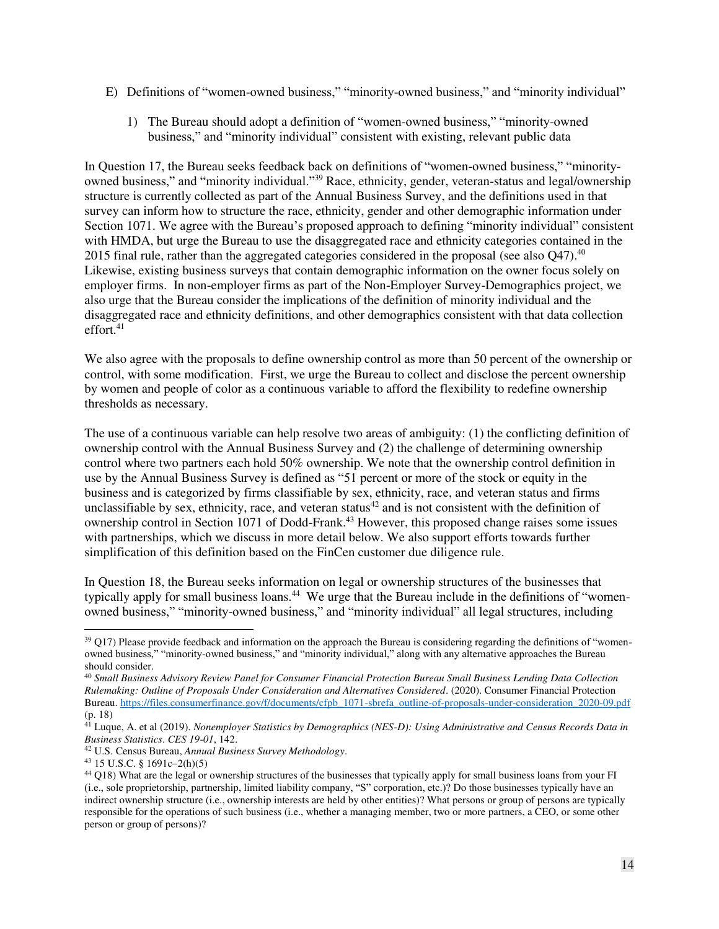- <span id="page-13-0"></span>E) Definitions of "women-owned business," "minority-owned business," and "minority individual"
	- 1) The Bureau should adopt a definition of "women-owned business," "minority-owned business," and "minority individual" consistent with existing, relevant public data

In Question 17, the Bureau seeks feedback back on definitions of "women-owned business," "minorityowned business," and "minority individual."<sup>39</sup> Race, ethnicity, gender, veteran-status and legal/ownership structure is currently collected as part of the Annual Business Survey, and the definitions used in that survey can inform how to structure the race, ethnicity, gender and other demographic information under Section 1071. We agree with the Bureau's proposed approach to defining "minority individual" consistent with HMDA, but urge the Bureau to use the disaggregated race and ethnicity categories contained in the 2015 final rule, rather than the aggregated categories considered in the proposal (see also  $Q$ 47).<sup>40</sup> Likewise, existing business surveys that contain demographic information on the owner focus solely on employer firms. In non-employer firms as part of the Non-Employer Survey-Demographics project, we also urge that the Bureau consider the implications of the definition of minority individual and the disaggregated race and ethnicity definitions, and other demographics consistent with that data collection effort.<sup>41</sup>

We also agree with the proposals to define ownership control as more than 50 percent of the ownership or control, with some modification. First, we urge the Bureau to collect and disclose the percent ownership by women and people of color as a continuous variable to afford the flexibility to redefine ownership thresholds as necessary.

The use of a continuous variable can help resolve two areas of ambiguity: (1) the conflicting definition of ownership control with the Annual Business Survey and (2) the challenge of determining ownership control where two partners each hold 50% ownership. We note that the ownership control definition in use by the Annual Business Survey is defined as "51 percent or more of the stock or equity in the business and is categorized by firms classifiable by sex, ethnicity, race, and veteran status and firms unclassifiable by sex, ethnicity, race, and veteran status $42$  and is not consistent with the definition of ownership control in Section 1071 of Dodd-Frank.<sup>43</sup> However, this proposed change raises some issues with partnerships, which we discuss in more detail below. We also support efforts towards further simplification of this definition based on the FinCen customer due diligence rule.

In Question 18, the Bureau seeks information on legal or ownership structures of the businesses that typically apply for small business loans.<sup>44</sup> We urge that the Bureau include in the definitions of "womenowned business," "minority-owned business," and "minority individual" all legal structures, including

 $\ddot{\phantom{a}}$ 

 $39$  Q17) Please provide feedback and information on the approach the Bureau is considering regarding the definitions of "womenowned business," "minority-owned business," and "minority individual," along with any alternative approaches the Bureau should consider.

<sup>40</sup> *Small Business Advisory Review Panel for Consumer Financial Protection Bureau Small Business Lending Data Collection Rulemaking: Outline of Proposals Under Consideration and Alternatives Considered*. (2020). Consumer Financial Protection Bureau[. https://files.consumerfinance.gov/f/documents/cfpb\\_1071-sbrefa\\_outline-of-proposals-under-consideration\\_2020-09.pdf](https://files.consumerfinance.gov/f/documents/cfpb_1071-sbrefa_outline-of-proposals-under-consideration_2020-09.pdf) (p. 18)

<sup>41</sup> Luque, A. et al (2019). *Nonemployer Statistics by Demographics (NES-D): Using Administrative and Census Records Data in Business Statistics*. *CES 19-01*, 142.

<sup>42</sup> U.S. Census Bureau, *Annual Business Survey Methodology*.

<sup>43</sup> 15 U.S.C. § 1691c–2(h)(5)

<sup>&</sup>lt;sup>44</sup> Q18) What are the legal or ownership structures of the businesses that typically apply for small business loans from your FI (i.e., sole proprietorship, partnership, limited liability company, "S" corporation, etc.)? Do those businesses typically have an indirect ownership structure (i.e., ownership interests are held by other entities)? What persons or group of persons are typically responsible for the operations of such business (i.e., whether a managing member, two or more partners, a CEO, or some other person or group of persons)?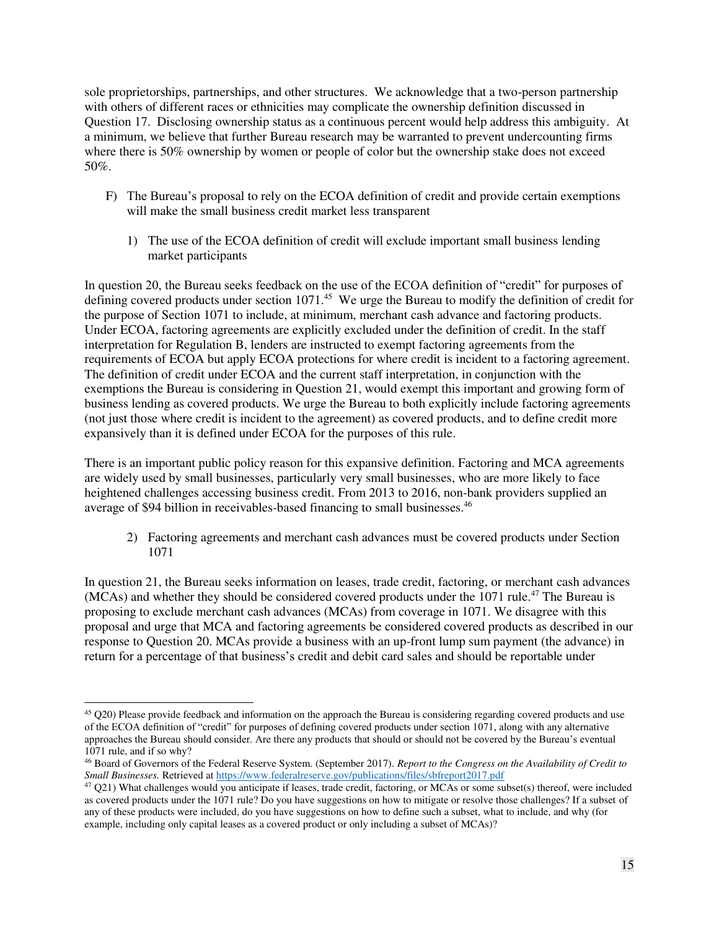sole proprietorships, partnerships, and other structures. We acknowledge that a two-person partnership with others of different races or ethnicities may complicate the ownership definition discussed in Question 17. Disclosing ownership status as a continuous percent would help address this ambiguity. At a minimum, we believe that further Bureau research may be warranted to prevent undercounting firms where there is 50% ownership by women or people of color but the ownership stake does not exceed 50%.

- <span id="page-14-0"></span>F) The Bureau's proposal to rely on the ECOA definition of credit and provide certain exemptions will make the small business credit market less transparent
	- 1) The use of the ECOA definition of credit will exclude important small business lending market participants

<span id="page-14-1"></span>In question 20, the Bureau seeks feedback on the use of the ECOA definition of "credit" for purposes of defining covered products under section 1071.<sup>45</sup> We urge the Bureau to modify the definition of credit for the purpose of Section 1071 to include, at minimum, merchant cash advance and factoring products. Under ECOA, factoring agreements are explicitly excluded under the definition of credit. In the staff interpretation for Regulation B, lenders are instructed to exempt factoring agreements from the requirements of ECOA but apply ECOA protections for where credit is incident to a factoring agreement. The definition of credit under ECOA and the current staff interpretation, in conjunction with the exemptions the Bureau is considering in Question 21, would exempt this important and growing form of business lending as covered products. We urge the Bureau to both explicitly include factoring agreements (not just those where credit is incident to the agreement) as covered products, and to define credit more expansively than it is defined under ECOA for the purposes of this rule.

There is an important public policy reason for this expansive definition. Factoring and MCA agreements are widely used by small businesses, particularly very small businesses, who are more likely to face heightened challenges accessing business credit. From 2013 to 2016, non-bank providers supplied an average of \$94 billion in receivables-based financing to small businesses.<sup>46</sup>

2) Factoring agreements and merchant cash advances must be covered products under Section 1071

<span id="page-14-2"></span>In question 21, the Bureau seeks information on leases, trade credit, factoring, or merchant cash advances (MCAs) and whether they should be considered covered products under the 1071 rule.<sup>47</sup> The Bureau is proposing to exclude merchant cash advances (MCAs) from coverage in 1071. We disagree with this proposal and urge that MCA and factoring agreements be considered covered products as described in our response to Question 20. MCAs provide a business with an up-front lump sum payment (the advance) in return for a percentage of that business's credit and debit card sales and should be reportable under

 $\overline{a}$  $45$  Q20) Please provide feedback and information on the approach the Bureau is considering regarding covered products and use of the ECOA definition of "credit" for purposes of defining covered products under section 1071, along with any alternative approaches the Bureau should consider. Are there any products that should or should not be covered by the Bureau's eventual 1071 rule, and if so why?

<sup>46</sup> Board of Governors of the Federal Reserve System. (September 2017). *Report to the Congress on the Availability of Credit to Small Businesses.* Retrieved at<https://www.federalreserve.gov/publications/files/sbfreport2017.pdf>

<sup>47</sup> Q21) What challenges would you anticipate if leases, trade credit, factoring, or MCAs or some subset(s) thereof, were included as covered products under the 1071 rule? Do you have suggestions on how to mitigate or resolve those challenges? If a subset of any of these products were included, do you have suggestions on how to define such a subset, what to include, and why (for example, including only capital leases as a covered product or only including a subset of MCAs)?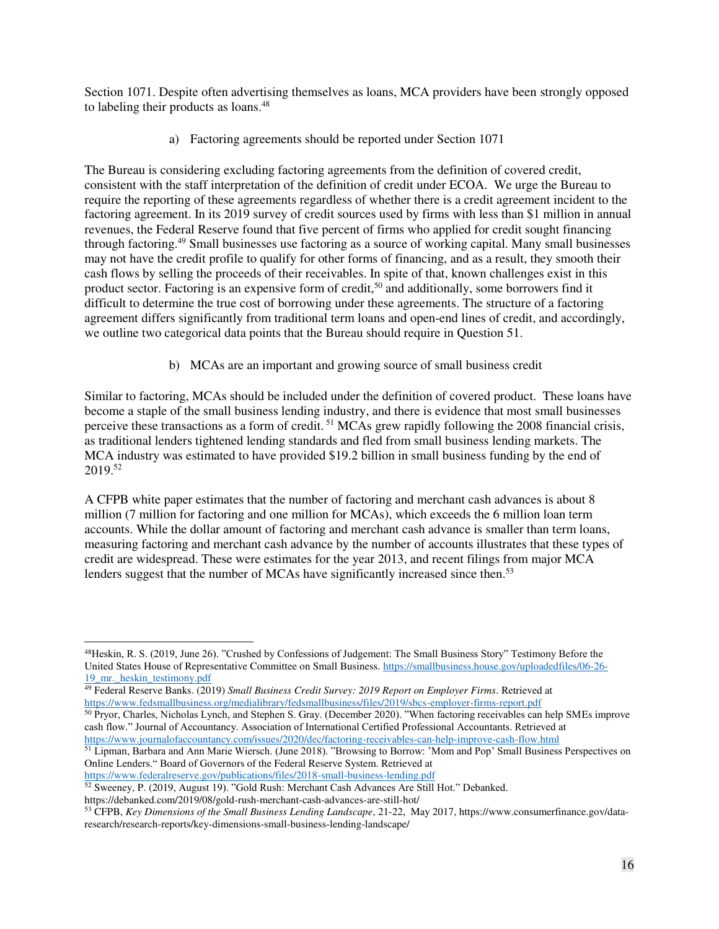Section 1071. Despite often advertising themselves as loans, MCA providers have been strongly opposed to labeling their products as loans.<sup>48</sup>

a) Factoring agreements should be reported under Section 1071

The Bureau is considering excluding factoring agreements from the definition of covered credit, consistent with the staff interpretation of the definition of credit under ECOA. We urge the Bureau to require the reporting of these agreements regardless of whether there is a credit agreement incident to the factoring agreement. In its 2019 survey of credit sources used by firms with less than \$1 million in annual revenues, the Federal Reserve found that five percent of firms who applied for credit sought financing through factoring.<sup>49</sup> Small businesses use factoring as a source of working capital. Many small businesses may not have the credit profile to qualify for other forms of financing, and as a result, they smooth their cash flows by selling the proceeds of their receivables. In spite of that, known challenges exist in this product sector. Factoring is an expensive form of credit,<sup>50</sup> and additionally, some borrowers find it difficult to determine the true cost of borrowing under these agreements. The structure of a factoring agreement differs significantly from traditional term loans and open-end lines of credit, and accordingly, we outline two categorical data points that the Bureau should require in Question 51.

b) MCAs are an important and growing source of small business credit

Similar to factoring, MCAs should be included under the definition of covered product. These loans have become a staple of the small business lending industry, and there is evidence that most small businesses perceive these transactions as a form of credit.<sup>51</sup> MCAs grew rapidly following the 2008 financial crisis, as traditional lenders tightened lending standards and fled from small business lending markets. The MCA industry was estimated to have provided \$19.2 billion in small business funding by the end of  $2019.^{52}$ 

A CFPB white paper estimates that the number of factoring and merchant cash advances is about 8 million (7 million for factoring and one million for MCAs), which exceeds the 6 million loan term accounts. While the dollar amount of factoring and merchant cash advance is smaller than term loans, measuring factoring and merchant cash advance by the number of accounts illustrates that these types of credit are widespread. These were estimates for the year 2013, and recent filings from major MCA lenders suggest that the number of MCAs have significantly increased since then.<sup>53</sup>

https://debanked.com/2019/08/gold-rush-merchant-cash-advances-are-still-hot/

 $\overline{a}$ 48Heskin, R. S. (2019, June 26). "Crushed by Confessions of Judgement: The Small Business Story" Testimony Before the United States House of Representative Committee on Small Business. [https://smallbusiness.house.gov/uploadedfiles/06-26-](https://smallbusiness.house.gov/uploadedfiles/06-26-19_mr._heskin_testimony.pdf) 19 mr. heskin\_testimony.pdf

<sup>49</sup> Federal Reserve Banks. (2019) *Small Business Credit Survey: 2019 Report on Employer Firms*. Retrieved at <https://www.fedsmallbusiness.org/medialibrary/fedsmallbusiness/files/2019/sbcs-employer-firms-report.pdf>

<sup>50</sup> Pryor, Charles, Nicholas Lynch, and Stephen S. Gray. (December 2020). "When factoring receivables can help SMEs improve cash flow." Journal of Accountancy. Association of International Certified Professional Accountants. Retrieved at <https://www.journalofaccountancy.com/issues/2020/dec/factoring-receivables-can-help-improve-cash-flow.html>

<sup>&</sup>lt;sup>51</sup> Lipman, Barbara and Ann Marie Wiersch. (June 2018). "Browsing to Borrow: 'Mom and Pop' Small Business Perspectives on Online Lenders." Board of Governors of the Federal Reserve System. Retrieved at

<https://www.federalreserve.gov/publications/files/2018-small-business-lending.pdf>

<sup>52</sup> Sweeney, P. (2019, August 19). "Gold Rush: Merchant Cash Advances Are Still Hot." Debanked.

<sup>53</sup> CFPB, *Key Dimensions of the Small Business Lending Landscape*, 21-22, May 2017, https://www.consumerfinance.gov/dataresearch/research-reports/key-dimensions-small-business-lending-landscape/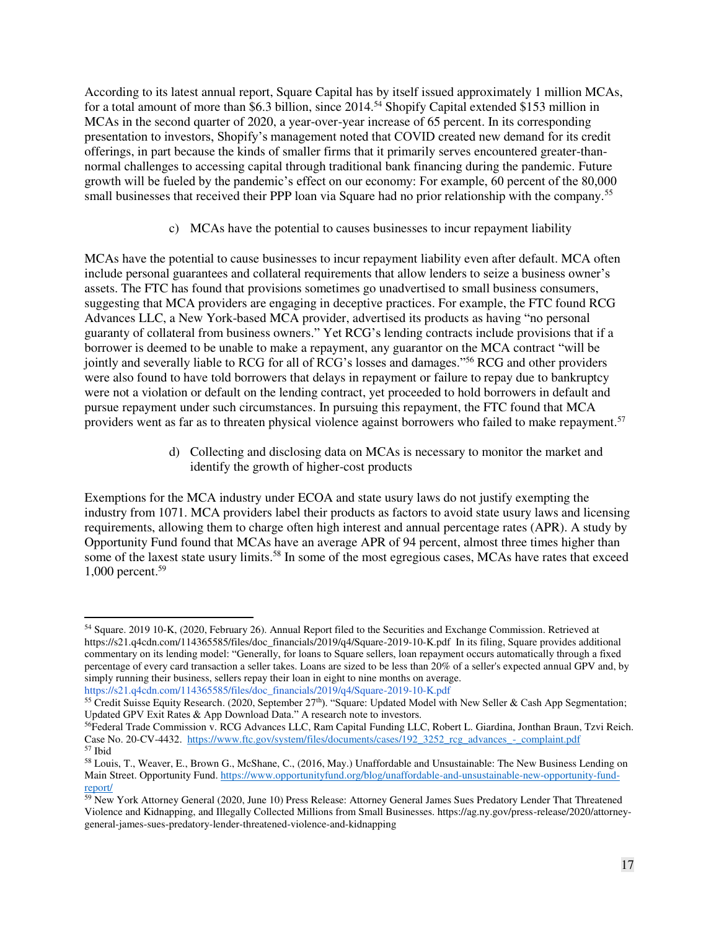According to its latest annual report, Square Capital has by itself issued approximately 1 million MCAs, for a total amount of more than \$6.3 billion, since 2014.<sup>54</sup> Shopify Capital extended \$153 million in MCAs in the second quarter of 2020, a year-over-year increase of 65 percent. In its corresponding presentation to investors, Shopify's management noted that COVID created new demand for its credit offerings, in part because the kinds of smaller firms that it primarily serves encountered greater-thannormal challenges to accessing capital through traditional bank financing during the pandemic. Future growth will be fueled by the pandemic's effect on our economy: For example, 60 percent of the 80,000 small businesses that received their PPP loan via Square had no prior relationship with the company.<sup>55</sup>

c) MCAs have the potential to causes businesses to incur repayment liability

MCAs have the potential to cause businesses to incur repayment liability even after default. MCA often include personal guarantees and collateral requirements that allow lenders to seize a business owner's assets. The FTC has found that provisions sometimes go unadvertised to small business consumers, suggesting that MCA providers are engaging in deceptive practices. For example, the FTC found RCG Advances LLC, a New York-based MCA provider, advertised its products as having "no personal guaranty of collateral from business owners." Yet RCG's lending contracts include provisions that if a borrower is deemed to be unable to make a repayment, any guarantor on the MCA contract "will be jointly and severally liable to RCG for all of RCG's losses and damages."<sup>56</sup> RCG and other providers were also found to have told borrowers that delays in repayment or failure to repay due to bankruptcy were not a violation or default on the lending contract, yet proceeded to hold borrowers in default and pursue repayment under such circumstances. In pursuing this repayment, the FTC found that MCA providers went as far as to threaten physical violence against borrowers who failed to make repayment.<sup>57</sup>

> d) Collecting and disclosing data on MCAs is necessary to monitor the market and identify the growth of higher-cost products

Exemptions for the MCA industry under ECOA and state usury laws do not justify exempting the industry from 1071. MCA providers label their products as factors to avoid state usury laws and licensing requirements, allowing them to charge often high interest and annual percentage rates (APR). A study by Opportunity Fund found that MCAs have an average APR of 94 percent, almost three times higher than some of the laxest state usury limits.<sup>58</sup> In some of the most egregious cases, MCAs have rates that exceed 1,000 percent.<sup>59</sup>

<sup>54</sup> Square. 2019 10-K, (2020, February 26). Annual Report filed to the Securities and Exchange Commission. Retrieved at https://s21.q4cdn.com/114365585/files/doc\_financials/2019/q4/Square-2019-10-K.pdf In its filing, Square provides additional commentary on its lending model: "Generally, for loans to Square sellers, loan repayment occurs automatically through a fixed percentage of every card transaction a seller takes. Loans are sized to be less than 20% of a seller's expected annual GPV and, by simply running their business, sellers repay their loan in eight to nine months on average.

[https://s21.q4cdn.com/114365585/files/doc\\_financials/2019/q4/Square-2019-10-K.pdf](https://s21.q4cdn.com/114365585/files/doc_financials/2019/q4/Square-2019-10-K.pdf) 

<sup>55</sup> Credit Suisse Equity Research. (2020, September 27th). "Square: Updated Model with New Seller & Cash App Segmentation; Updated GPV Exit Rates & App Download Data." A research note to investors.

<sup>&</sup>lt;sup>56</sup>Federal Trade Commission v. RCG Advances LLC, Ram Capital Funding LLC, Robert L. Giardina, Jonthan Braun, Tzvi Reich. Case No. 20-CV-4432. https://www.ftc.gov/system/files/documents/cases/192\_3252\_rcg\_advances\_-\_complaint.pdf <sup>57</sup> Ibid

<sup>58</sup> Louis, T., Weaver, E., Brown G., McShane, C., (2016, May.) Unaffordable and Unsustainable: The New Business Lending on Main Street. Opportunity Fund. [https://www.opportunityfund.org/blog/unaffordable-and-unsustainable-new-opportunity-fund](https://www.opportunityfund.org/blog/unaffordable-and-unsustainable-new-opportunity-fund-report/)[report/](https://www.opportunityfund.org/blog/unaffordable-and-unsustainable-new-opportunity-fund-report/) 

<sup>59</sup> New York Attorney General (2020, June 10) Press Release: Attorney General James Sues Predatory Lender That Threatened Violence and Kidnapping, and Illegally Collected Millions from Small Businesses. https://ag.ny.gov/press-release/2020/attorneygeneral-james-sues-predatory-lender-threatened-violence-and-kidnapping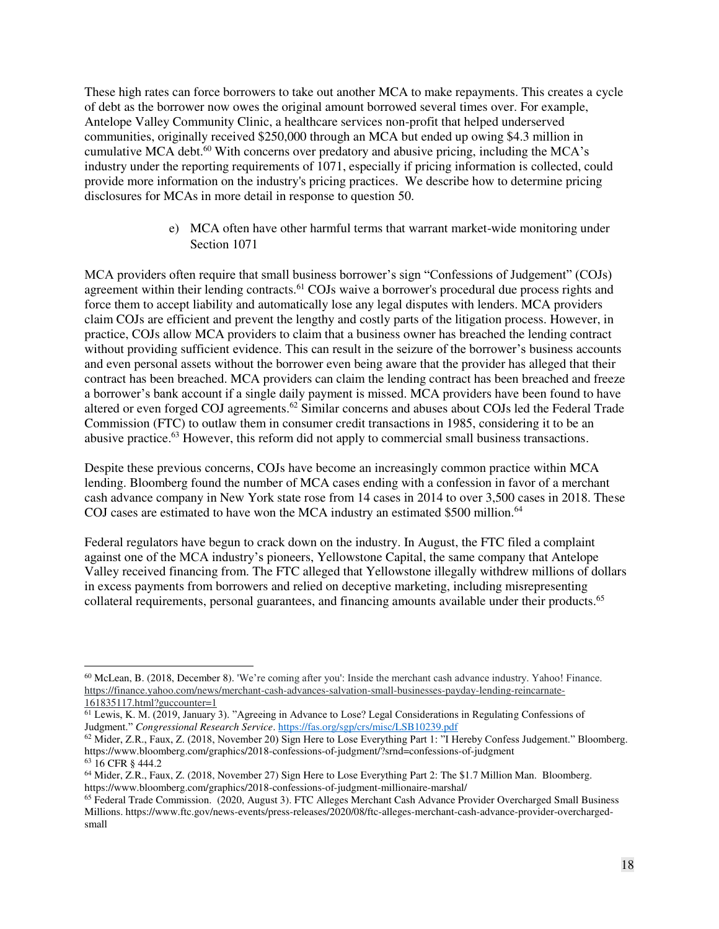These high rates can force borrowers to take out another MCA to make repayments. This creates a cycle of debt as the borrower now owes the original amount borrowed several times over. For example, Antelope Valley Community Clinic, a healthcare services non-profit that helped underserved communities, originally received \$250,000 through an MCA but ended up owing \$4.3 million in cumulative MCA debt.<sup>60</sup> With concerns over predatory and abusive pricing, including the MCA's industry under the reporting requirements of 1071, especially if pricing information is collected, could provide more information on the industry's pricing practices. We describe how to determine pricing disclosures for MCAs in more detail in response to question 50.

> e) MCA often have other harmful terms that warrant market-wide monitoring under Section 1071

MCA providers often require that small business borrower's sign "Confessions of Judgement" (COJs) agreement within their lending contracts.<sup>61</sup> COJs waive a borrower's procedural due process rights and force them to accept liability and automatically lose any legal disputes with lenders. MCA providers claim COJs are efficient and prevent the lengthy and costly parts of the litigation process. However, in practice, COJs allow MCA providers to claim that a business owner has breached the lending contract without providing sufficient evidence. This can result in the seizure of the borrower's business accounts and even personal assets without the borrower even being aware that the provider has alleged that their contract has been breached. MCA providers can claim the lending contract has been breached and freeze a borrower's bank account if a single daily payment is missed. MCA providers have been found to have altered or even forged COJ agreements.<sup>62</sup> Similar concerns and abuses about COJs led the Federal Trade Commission (FTC) to outlaw them in consumer credit transactions in 1985, considering it to be an abusive practice.<sup>63</sup> However, this reform did not apply to commercial small business transactions.

Despite these previous concerns, COJs have become an increasingly common practice within MCA lending. Bloomberg found the number of MCA cases ending with a confession in favor of a merchant cash advance company in New York state rose from 14 cases in 2014 to over 3,500 cases in 2018. These COJ cases are estimated to have won the MCA industry an estimated  $$500$  million.<sup>64</sup>

Federal regulators have begun to crack down on the industry. In August, the FTC filed a complaint against one of the MCA industry's pioneers, Yellowstone Capital, the same company that Antelope Valley received financing from. The FTC alleged that Yellowstone illegally withdrew millions of dollars in excess payments from borrowers and relied on deceptive marketing, including misrepresenting collateral requirements, personal guarantees, and financing amounts available under their products.<sup>65</sup>

 $\ddot{\phantom{a}}$ 

<sup>60</sup> McLean, B. (2018, December 8). 'We're coming after you': Inside the merchant cash advance industry. Yahoo! Finance. [https://finance.yahoo.com/news/merchant-cash-advances-salvation-small-businesses-payday-lending-reincarnate-](https://finance.yahoo.com/news/merchant-cash-advances-salvation-small-businesses-payday-lending-reincarnate-161835117.html?guccounter=1)[161835117.html?guccounter=1](https://finance.yahoo.com/news/merchant-cash-advances-salvation-small-businesses-payday-lending-reincarnate-161835117.html?guccounter=1) 

<sup>61</sup> Lewis, K. M. (2019, January 3). "Agreeing in Advance to Lose? Legal Considerations in Regulating Confessions of Judgment." *Congressional Research Service*.<https://fas.org/sgp/crs/misc/LSB10239.pdf>

<sup>62</sup> Mider, Z.R., Faux, Z. (2018, November 20) Sign Here to Lose Everything Part 1: "I Hereby Confess Judgement." Bloomberg. https://www.bloomberg.com/graphics/2018-confessions-of-judgment/?srnd=confessions-of-judgment <sup>63</sup> 16 CFR § 444.2

<sup>64</sup> Mider, Z.R., Faux, Z. (2018, November 27) Sign Here to Lose Everything Part 2: The \$1.7 Million Man. Bloomberg. https://www.bloomberg.com/graphics/2018-confessions-of-judgment-millionaire-marshal/

<sup>65</sup> Federal Trade Commission. (2020, August 3). FTC Alleges Merchant Cash Advance Provider Overcharged Small Business Millions. https://www.ftc.gov/news-events/press-releases/2020/08/ftc-alleges-merchant-cash-advance-provider-overchargedsmall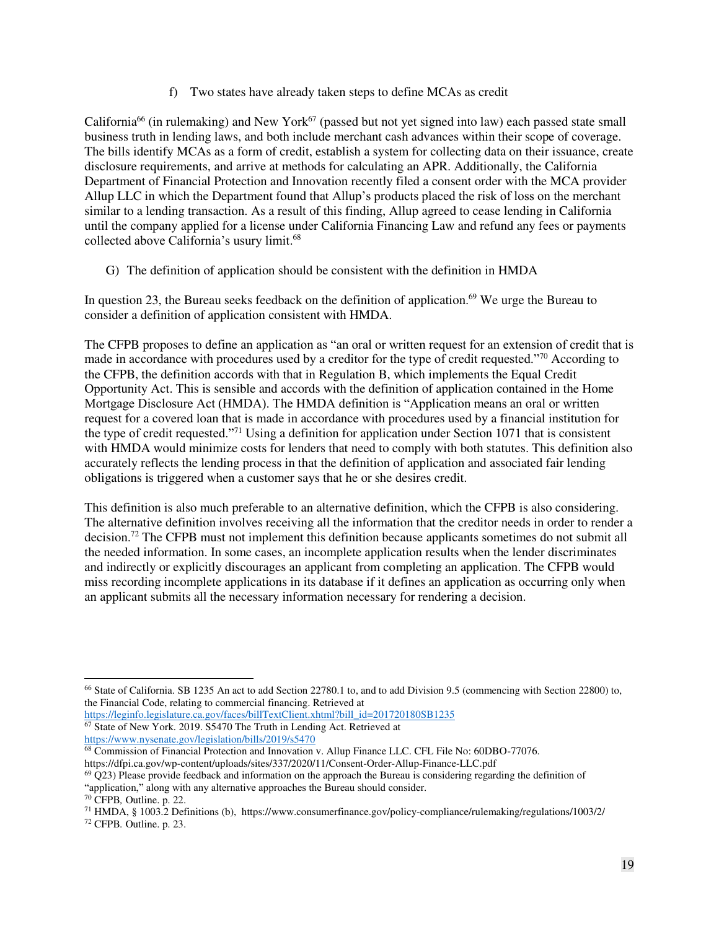f) Two states have already taken steps to define MCAs as credit

California<sup>66</sup> (in rulemaking) and New York<sup>67</sup> (passed but not yet signed into law) each passed state small business truth in lending laws, and both include merchant cash advances within their scope of coverage. The bills identify MCAs as a form of credit, establish a system for collecting data on their issuance, create disclosure requirements, and arrive at methods for calculating an APR. Additionally, the California Department of Financial Protection and Innovation recently filed a consent order with the MCA provider Allup LLC in which the Department found that Allup's products placed the risk of loss on the merchant similar to a lending transaction. As a result of this finding, Allup agreed to cease lending in California until the company applied for a license under California Financing Law and refund any fees or payments collected above California's usury limit. 68

<span id="page-18-0"></span>G) The definition of application should be consistent with the definition in HMDA

In question 23, the Bureau seeks feedback on the definition of application.<sup>69</sup> We urge the Bureau to consider a definition of application consistent with HMDA.

The CFPB proposes to define an application as "an oral or written request for an extension of credit that is made in accordance with procedures used by a creditor for the type of credit requested."<sup>70</sup> According to the CFPB, the definition accords with that in Regulation B, which implements the Equal Credit Opportunity Act. This is sensible and accords with the definition of application contained in the Home Mortgage Disclosure Act (HMDA). The HMDA definition is "Application means an oral or written request for a covered loan that is made in accordance with procedures used by a financial institution for the type of credit requested."<sup>71</sup> Using a definition for application under Section 1071 that is consistent with HMDA would minimize costs for lenders that need to comply with both statutes. This definition also accurately reflects the lending process in that the definition of application and associated fair lending obligations is triggered when a customer says that he or she desires credit.

This definition is also much preferable to an alternative definition, which the CFPB is also considering. The alternative definition involves receiving all the information that the creditor needs in order to render a decision.<sup>72</sup> The CFPB must not implement this definition because applicants sometimes do not submit all the needed information. In some cases, an incomplete application results when the lender discriminates and indirectly or explicitly discourages an applicant from completing an application. The CFPB would miss recording incomplete applications in its database if it defines an application as occurring only when an applicant submits all the necessary information necessary for rendering a decision.

 $\overline{a}$ <sup>66</sup> State of California. SB 1235 An act to add Section 22780.1 to, and to add Division 9.5 (commencing with Section 22800) to, the Financial Code, relating to commercial financing. Retrieved at

[https://leginfo.legislature.ca.gov/faces/billTextClient.xhtml?bill\\_id=201720180SB1235](https://leginfo.legislature.ca.gov/faces/billTextClient.xhtml?bill_id=201720180SB1235)  <sup>67</sup> State of New York. 2019. S5470 The Truth in Lending Act. Retrieved at <https://www.nysenate.gov/legislation/bills/2019/s5470>

<sup>68</sup> Commission of Financial Protection and Innovation v. Allup Finance LLC. CFL File No: 60DBO-77076.

https://dfpi.ca.gov/wp-content/uploads/sites/337/2020/11/Consent-Order-Allup-Finance-LLC.pdf

 $^{69}$  Q23) Please provide feedback and information on the approach the Bureau is considering regarding the definition of

<sup>&</sup>quot;application," along with any alternative approaches the Bureau should consider.

<sup>70</sup> CFPB*,* Outline. p. 22.

<sup>71</sup> HMDA, § 1003.2 Definitions (b), https://www.consumerfinance.gov/policy-compliance/rulemaking/regulations/1003/2/ 72 CFPB*.* Outline. p. 23.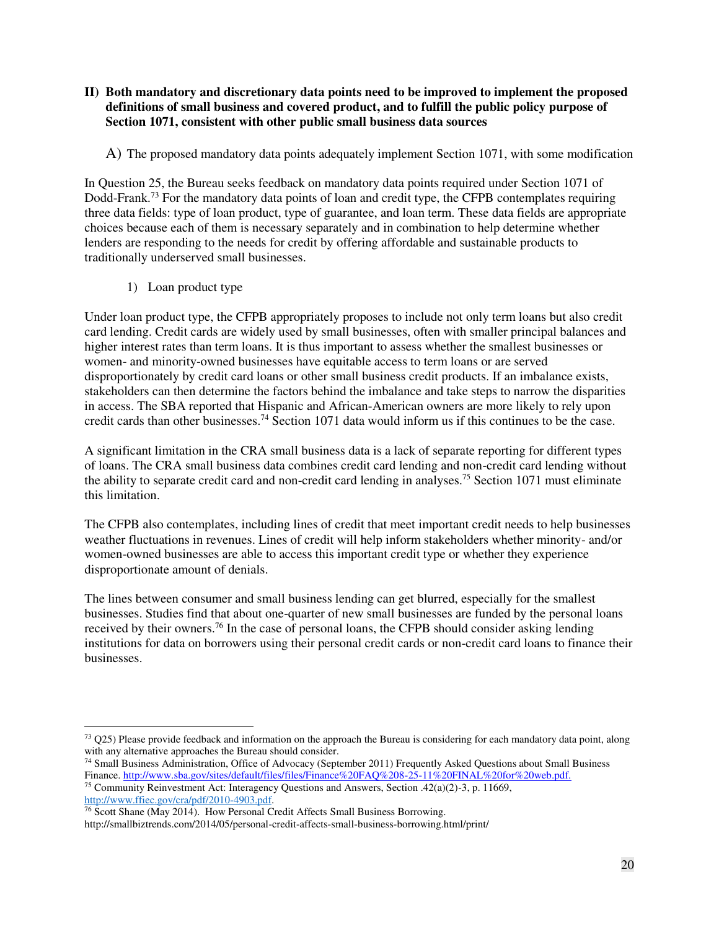#### <span id="page-19-0"></span>**II) Both mandatory and discretionary data points need to be improved to implement the proposed definitions of small business and covered product, and to fulfill the public policy purpose of Section 1071, consistent with other public small business data sources**

### <span id="page-19-1"></span>A) The proposed mandatory data points adequately implement Section 1071, with some modification

In Question 25, the Bureau seeks feedback on mandatory data points required under Section 1071 of Dodd-Frank.<sup>73</sup> For the mandatory data points of loan and credit type, the CFPB contemplates requiring three data fields: type of loan product, type of guarantee, and loan term. These data fields are appropriate choices because each of them is necessary separately and in combination to help determine whether lenders are responding to the needs for credit by offering affordable and sustainable products to traditionally underserved small businesses.

1) Loan product type

<span id="page-19-2"></span>Under loan product type, the CFPB appropriately proposes to include not only term loans but also credit card lending. Credit cards are widely used by small businesses, often with smaller principal balances and higher interest rates than term loans. It is thus important to assess whether the smallest businesses or women- and minority-owned businesses have equitable access to term loans or are served disproportionately by credit card loans or other small business credit products. If an imbalance exists, stakeholders can then determine the factors behind the imbalance and take steps to narrow the disparities in access. The SBA reported that Hispanic and African-American owners are more likely to rely upon credit cards than other businesses.<sup>74</sup> Section 1071 data would inform us if this continues to be the case.

A significant limitation in the CRA small business data is a lack of separate reporting for different types of loans. The CRA small business data combines credit card lending and non-credit card lending without the ability to separate credit card and non-credit card lending in analyses.<sup>75</sup> Section 1071 must eliminate this limitation.

The CFPB also contemplates, including lines of credit that meet important credit needs to help businesses weather fluctuations in revenues. Lines of credit will help inform stakeholders whether minority- and/or women-owned businesses are able to access this important credit type or whether they experience disproportionate amount of denials.

The lines between consumer and small business lending can get blurred, especially for the smallest businesses. Studies find that about one-quarter of new small businesses are funded by the personal loans received by their owners.<sup>76</sup> In the case of personal loans, the CFPB should consider asking lending institutions for data on borrowers using their personal credit cards or non-credit card loans to finance their businesses.

 $\overline{a}$  $73$  Q25) Please provide feedback and information on the approach the Bureau is considering for each mandatory data point, along with any alternative approaches the Bureau should consider.

<sup>74</sup> Small Business Administration, Office of Advocacy (September 2011) Frequently Asked Questions about Small Business Finance. [http://www.sba.gov/sites/default/files/files/Finance%20FAQ%208-25-11%20FINAL%20for%20web.pdf.](http://www.sba.gov/sites/default/files/files/Finance%20FAQ%208-25-11%20FINAL%20for%20web.pdf)

<sup>75</sup> Community Reinvestment Act: Interagency Questions and Answers, Section .42(a)(2)-3, p. 11669, [http://www.ffiec.gov/cra/pdf/2010-4903.pdf.](http://www.ffiec.gov/cra/pdf/2010-4903.pdf)

<sup>76</sup> Scott Shane (May 2014). How Personal Credit Affects Small Business Borrowing. http://smallbiztrends.com/2014/05/personal-credit-affects-small-business-borrowing.html/print/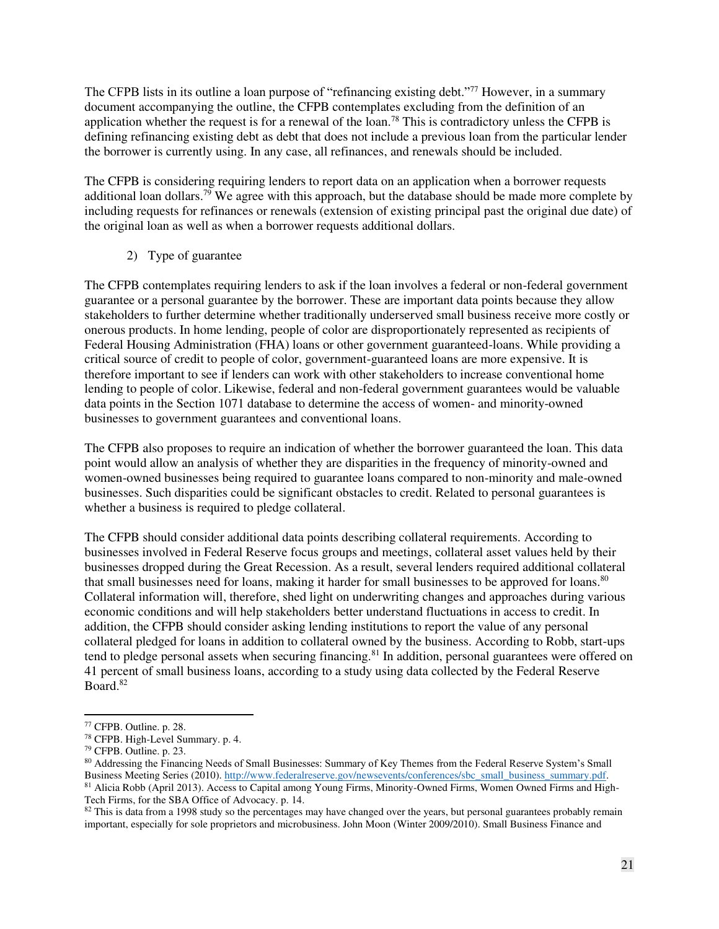The CFPB lists in its outline a loan purpose of "refinancing existing debt."<sup>77</sup> However, in a summary document accompanying the outline, the CFPB contemplates excluding from the definition of an application whether the request is for a renewal of the loan.<sup>78</sup> This is contradictory unless the CFPB is defining refinancing existing debt as debt that does not include a previous loan from the particular lender the borrower is currently using. In any case, all refinances, and renewals should be included.

The CFPB is considering requiring lenders to report data on an application when a borrower requests additional loan dollars.<sup>79</sup> We agree with this approach, but the database should be made more complete by including requests for refinances or renewals (extension of existing principal past the original due date) of the original loan as well as when a borrower requests additional dollars.

2) Type of guarantee

<span id="page-20-0"></span>The CFPB contemplates requiring lenders to ask if the loan involves a federal or non-federal government guarantee or a personal guarantee by the borrower. These are important data points because they allow stakeholders to further determine whether traditionally underserved small business receive more costly or onerous products. In home lending, people of color are disproportionately represented as recipients of Federal Housing Administration (FHA) loans or other government guaranteed-loans. While providing a critical source of credit to people of color, government-guaranteed loans are more expensive. It is therefore important to see if lenders can work with other stakeholders to increase conventional home lending to people of color. Likewise, federal and non-federal government guarantees would be valuable data points in the Section 1071 database to determine the access of women- and minority-owned businesses to government guarantees and conventional loans.

The CFPB also proposes to require an indication of whether the borrower guaranteed the loan. This data point would allow an analysis of whether they are disparities in the frequency of minority-owned and women-owned businesses being required to guarantee loans compared to non-minority and male-owned businesses. Such disparities could be significant obstacles to credit. Related to personal guarantees is whether a business is required to pledge collateral.

The CFPB should consider additional data points describing collateral requirements. According to businesses involved in Federal Reserve focus groups and meetings, collateral asset values held by their businesses dropped during the Great Recession. As a result, several lenders required additional collateral that small businesses need for loans, making it harder for small businesses to be approved for loans.<sup>80</sup> Collateral information will, therefore, shed light on underwriting changes and approaches during various economic conditions and will help stakeholders better understand fluctuations in access to credit. In addition, the CFPB should consider asking lending institutions to report the value of any personal collateral pledged for loans in addition to collateral owned by the business. According to Robb, start-ups tend to pledge personal assets when securing financing.<sup>81</sup> In addition, personal guarantees were offered on 41 percent of small business loans, according to a study using data collected by the Federal Reserve Board.<sup>82</sup>

 $77$  CFPB. Outline. p. 28.

<sup>78</sup> CFPB. High-Level Summary. p. 4.

<sup>79</sup> CFPB. Outline. p. 23.

<sup>&</sup>lt;sup>80</sup> Addressing the Financing Needs of Small Businesses: Summary of Key Themes from the Federal Reserve System's Small Business Meeting Series (2010). http://www.federalreserve.gov/newsevents/conferences/sbc\_small\_business\_summary.pdf. 81 Alicia Robb (April 2013). Access to Capital among Young Firms, Minority-Owned Firms, Women Owned Firms and High-Tech Firms, for the SBA Office of Advocacy. p. 14.

 $82$  This is data from a 1998 study so the percentages may have changed over the years, but personal guarantees probably remain important, especially for sole proprietors and microbusiness. John Moon (Winter 2009/2010). Small Business Finance and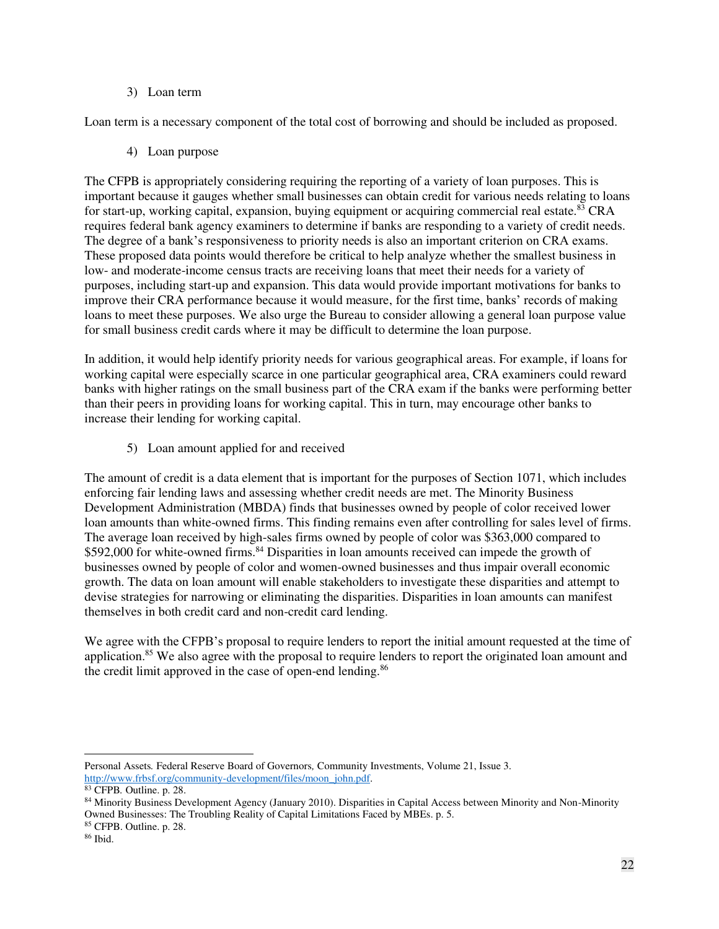#### 3) Loan term

<span id="page-21-1"></span><span id="page-21-0"></span>Loan term is a necessary component of the total cost of borrowing and should be included as proposed.

## 4) Loan purpose

The CFPB is appropriately considering requiring the reporting of a variety of loan purposes. This is important because it gauges whether small businesses can obtain credit for various needs relating to loans for start-up, working capital, expansion, buying equipment or acquiring commercial real estate.<sup>83</sup> CRA requires federal bank agency examiners to determine if banks are responding to a variety of credit needs. The degree of a bank's responsiveness to priority needs is also an important criterion on CRA exams. These proposed data points would therefore be critical to help analyze whether the smallest business in low- and moderate-income census tracts are receiving loans that meet their needs for a variety of purposes, including start-up and expansion. This data would provide important motivations for banks to improve their CRA performance because it would measure, for the first time, banks' records of making loans to meet these purposes. We also urge the Bureau to consider allowing a general loan purpose value for small business credit cards where it may be difficult to determine the loan purpose.

In addition, it would help identify priority needs for various geographical areas. For example, if loans for working capital were especially scarce in one particular geographical area, CRA examiners could reward banks with higher ratings on the small business part of the CRA exam if the banks were performing better than their peers in providing loans for working capital. This in turn, may encourage other banks to increase their lending for working capital.

5) Loan amount applied for and received

<span id="page-21-2"></span>The amount of credit is a data element that is important for the purposes of Section 1071, which includes enforcing fair lending laws and assessing whether credit needs are met. The Minority Business Development Administration (MBDA) finds that businesses owned by people of color received lower loan amounts than white-owned firms. This finding remains even after controlling for sales level of firms. The average loan received by high-sales firms owned by people of color was \$363,000 compared to \$592,000 for white-owned firms.<sup>84</sup> Disparities in loan amounts received can impede the growth of businesses owned by people of color and women-owned businesses and thus impair overall economic growth. The data on loan amount will enable stakeholders to investigate these disparities and attempt to devise strategies for narrowing or eliminating the disparities. Disparities in loan amounts can manifest themselves in both credit card and non-credit card lending.

We agree with the CFPB's proposal to require lenders to report the initial amount requested at the time of application.<sup>85</sup> We also agree with the proposal to require lenders to report the originated loan amount and the credit limit approved in the case of open-end lending.<sup>86</sup>

Personal Assets*.* Federal Reserve Board of Governors*,* Community Investments, Volume 21, Issue 3. [http://www.frbsf.org/community-development/files/moon\\_john.pdf.](http://www.frbsf.org/community-development/files/moon_john.pdf)

<sup>83</sup> CFPB*.* Outline. p. 28.

<sup>84</sup> Minority Business Development Agency (January 2010). Disparities in Capital Access between Minority and Non-Minority Owned Businesses: The Troubling Reality of Capital Limitations Faced by MBEs. p. 5.

<sup>85</sup> CFPB. Outline. p. 28.

<sup>86</sup> Ibid.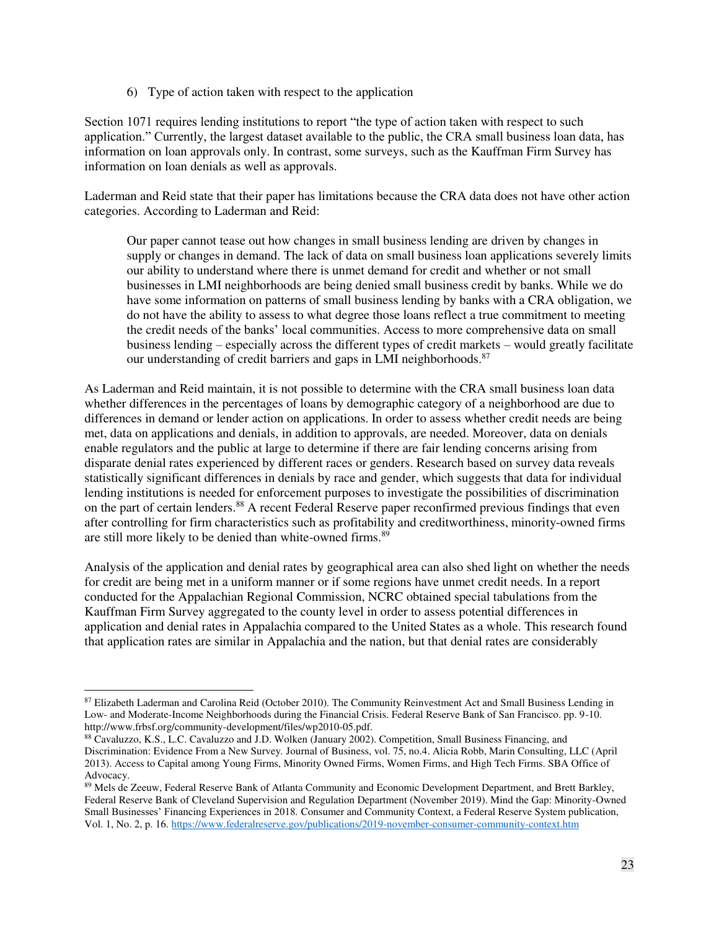6) Type of action taken with respect to the application

<span id="page-22-0"></span>Section 1071 requires lending institutions to report "the type of action taken with respect to such application." Currently, the largest dataset available to the public, the CRA small business loan data, has information on loan approvals only. In contrast, some surveys, such as the Kauffman Firm Survey has information on loan denials as well as approvals.

Laderman and Reid state that their paper has limitations because the CRA data does not have other action categories. According to Laderman and Reid:

Our paper cannot tease out how changes in small business lending are driven by changes in supply or changes in demand. The lack of data on small business loan applications severely limits our ability to understand where there is unmet demand for credit and whether or not small businesses in LMI neighborhoods are being denied small business credit by banks. While we do have some information on patterns of small business lending by banks with a CRA obligation, we do not have the ability to assess to what degree those loans reflect a true commitment to meeting the credit needs of the banks' local communities. Access to more comprehensive data on small business lending – especially across the different types of credit markets – would greatly facilitate our understanding of credit barriers and gaps in LMI neighborhoods.<sup>87</sup>

As Laderman and Reid maintain, it is not possible to determine with the CRA small business loan data whether differences in the percentages of loans by demographic category of a neighborhood are due to differences in demand or lender action on applications. In order to assess whether credit needs are being met, data on applications and denials, in addition to approvals, are needed. Moreover, data on denials enable regulators and the public at large to determine if there are fair lending concerns arising from disparate denial rates experienced by different races or genders. Research based on survey data reveals statistically significant differences in denials by race and gender, which suggests that data for individual lending institutions is needed for enforcement purposes to investigate the possibilities of discrimination on the part of certain lenders.<sup>88</sup> A recent Federal Reserve paper reconfirmed previous findings that even after controlling for firm characteristics such as profitability and creditworthiness, minority-owned firms are still more likely to be denied than white-owned firms.<sup>89</sup>

Analysis of the application and denial rates by geographical area can also shed light on whether the needs for credit are being met in a uniform manner or if some regions have unmet credit needs. In a report conducted for the Appalachian Regional Commission, NCRC obtained special tabulations from the Kauffman Firm Survey aggregated to the county level in order to assess potential differences in application and denial rates in Appalachia compared to the United States as a whole. This research found that application rates are similar in Appalachia and the nation, but that denial rates are considerably

<sup>&</sup>lt;sup>87</sup> Elizabeth Laderman and Carolina Reid (October 2010). The Community Reinvestment Act and Small Business Lending in Low- and Moderate-Income Neighborhoods during the Financial Crisis. Federal Reserve Bank of San Francisco. pp. 9-10. http://www.frbsf.org/community-development/files/wp2010-05.pdf.

<sup>88</sup> Cavaluzzo, K.S., L.C. Cavaluzzo and J.D. Wolken (January 2002). Competition, Small Business Financing, and Discrimination: Evidence From a New Survey*.* Journal of Business, vol. 75, no.4. Alicia Robb, Marin Consulting, LLC (April 2013). Access to Capital among Young Firms, Minority Owned Firms, Women Firms, and High Tech Firms. SBA Office of Advocacy.

<sup>89</sup> Mels de Zeeuw, Federal Reserve Bank of Atlanta Community and Economic Development Department, and Brett Barkley, Federal Reserve Bank of Cleveland Supervision and Regulation Department (November 2019). Mind the Gap: Minority-Owned Small Businesses' Financing Experiences in 2018*.* Consumer and Community Context, a Federal Reserve System publication, Vol. 1, No. 2, p. 16.<https://www.federalreserve.gov/publications/2019-november-consumer-community-context.htm>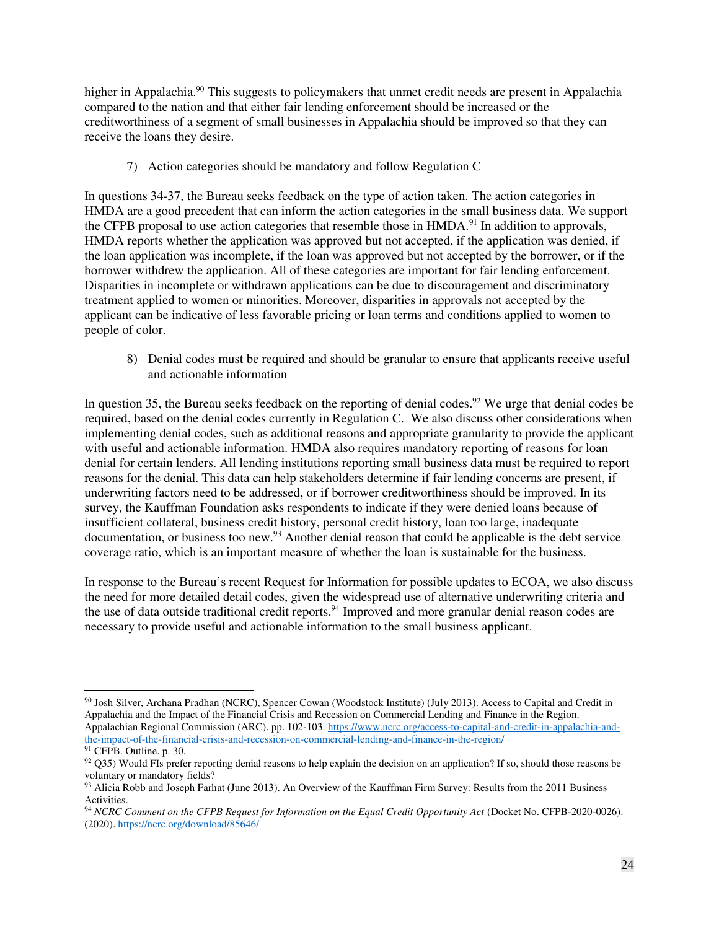higher in Appalachia.<sup>90</sup> This suggests to policymakers that unmet credit needs are present in Appalachia compared to the nation and that either fair lending enforcement should be increased or the creditworthiness of a segment of small businesses in Appalachia should be improved so that they can receive the loans they desire.

7) Action categories should be mandatory and follow Regulation C

<span id="page-23-0"></span>In questions 34-37, the Bureau seeks feedback on the type of action taken. The action categories in HMDA are a good precedent that can inform the action categories in the small business data. We support the CFPB proposal to use action categories that resemble those in HMDA.<sup>91</sup> In addition to approvals, HMDA reports whether the application was approved but not accepted, if the application was denied, if the loan application was incomplete, if the loan was approved but not accepted by the borrower, or if the borrower withdrew the application. All of these categories are important for fair lending enforcement. Disparities in incomplete or withdrawn applications can be due to discouragement and discriminatory treatment applied to women or minorities. Moreover, disparities in approvals not accepted by the applicant can be indicative of less favorable pricing or loan terms and conditions applied to women to people of color.

8) Denial codes must be required and should be granular to ensure that applicants receive useful and actionable information

<span id="page-23-1"></span>In question 35, the Bureau seeks feedback on the reporting of denial codes.<sup>92</sup> We urge that denial codes be required, based on the denial codes currently in Regulation C. We also discuss other considerations when implementing denial codes, such as additional reasons and appropriate granularity to provide the applicant with useful and actionable information. HMDA also requires mandatory reporting of reasons for loan denial for certain lenders. All lending institutions reporting small business data must be required to report reasons for the denial. This data can help stakeholders determine if fair lending concerns are present, if underwriting factors need to be addressed, or if borrower creditworthiness should be improved. In its survey, the Kauffman Foundation asks respondents to indicate if they were denied loans because of insufficient collateral, business credit history, personal credit history, loan too large, inadequate documentation, or business too new.<sup>93</sup> Another denial reason that could be applicable is the debt service coverage ratio, which is an important measure of whether the loan is sustainable for the business.

In response to the Bureau's recent Request for Information for possible updates to ECOA, we also discuss the need for more detailed detail codes, given the widespread use of alternative underwriting criteria and the use of data outside traditional credit reports.<sup>94</sup> Improved and more granular denial reason codes are necessary to provide useful and actionable information to the small business applicant.

<sup>&</sup>lt;sup>90</sup> Josh Silver, Archana Pradhan (NCRC), Spencer Cowan (Woodstock Institute) (July 2013). Access to Capital and Credit in Appalachia and the Impact of the Financial Crisis and Recession on Commercial Lending and Finance in the Region. Appalachian Regional Commission (ARC). pp. 102-103[. https://www.ncrc.org/access-to-capital-and-credit-in-appalachia-and](https://www.ncrc.org/access-to-capital-and-credit-in-appalachia-and-the-impact-of-the-financial-crisis-and-recession-on-commercial-lending-and-finance-in-the-region/)[the-impact-of-the-financial-crisis-and-recession-on-commercial-lending-and-finance-in-the-region/](https://www.ncrc.org/access-to-capital-and-credit-in-appalachia-and-the-impact-of-the-financial-crisis-and-recession-on-commercial-lending-and-finance-in-the-region/) 

<sup>&</sup>lt;sup>91</sup> CFPB. Outline. p. 30.

 $92$  Q35) Would FIs prefer reporting denial reasons to help explain the decision on an application? If so, should those reasons be voluntary or mandatory fields?

<sup>&</sup>lt;sup>93</sup> Alicia Robb and Joseph Farhat (June 2013). An Overview of the Kauffman Firm Survey: Results from the 2011 Business Activities.

<sup>94</sup> *NCRC Comment on the CFPB Request for Information on the Equal Credit Opportunity Act* (Docket No. CFPB-2020-0026). (2020)[. https://ncrc.org/download/85646/](https://ncrc.org/download/85646/)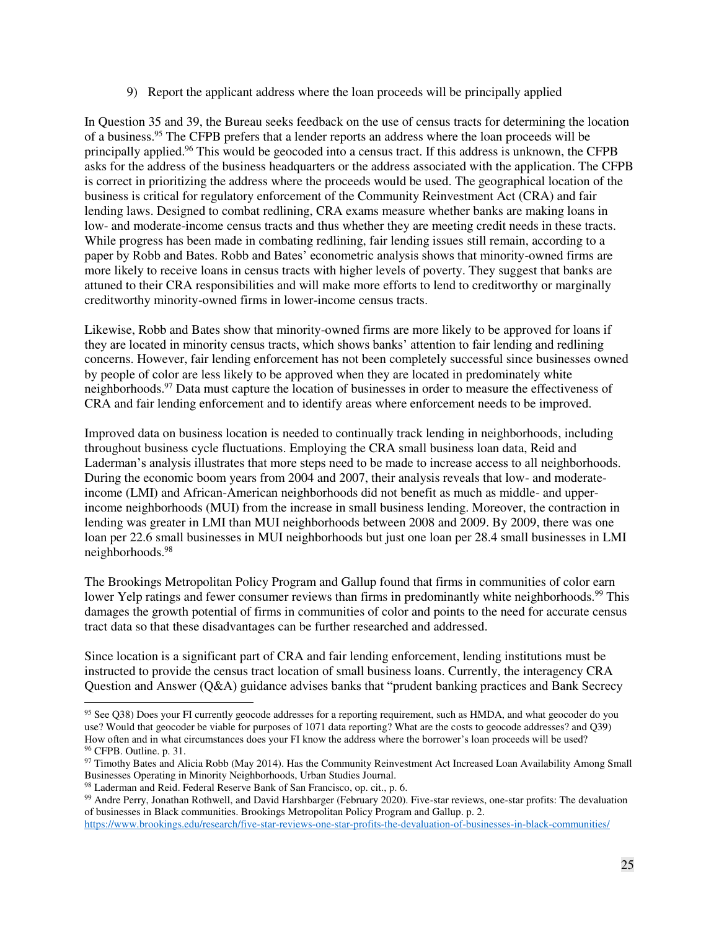9) Report the applicant address where the loan proceeds will be principally applied

<span id="page-24-0"></span>In Question 35 and 39, the Bureau seeks feedback on the use of census tracts for determining the location of a business.<sup>95</sup> The CFPB prefers that a lender reports an address where the loan proceeds will be principally applied.<sup>96</sup> This would be geocoded into a census tract. If this address is unknown, the CFPB asks for the address of the business headquarters or the address associated with the application. The CFPB is correct in prioritizing the address where the proceeds would be used. The geographical location of the business is critical for regulatory enforcement of the Community Reinvestment Act (CRA) and fair lending laws. Designed to combat redlining, CRA exams measure whether banks are making loans in low- and moderate-income census tracts and thus whether they are meeting credit needs in these tracts. While progress has been made in combating redlining, fair lending issues still remain, according to a paper by Robb and Bates. Robb and Bates' econometric analysis shows that minority-owned firms are more likely to receive loans in census tracts with higher levels of poverty. They suggest that banks are attuned to their CRA responsibilities and will make more efforts to lend to creditworthy or marginally creditworthy minority-owned firms in lower-income census tracts.

Likewise, Robb and Bates show that minority-owned firms are more likely to be approved for loans if they are located in minority census tracts, which shows banks' attention to fair lending and redlining concerns. However, fair lending enforcement has not been completely successful since businesses owned by people of color are less likely to be approved when they are located in predominately white neighborhoods.<sup>97</sup> Data must capture the location of businesses in order to measure the effectiveness of CRA and fair lending enforcement and to identify areas where enforcement needs to be improved.

Improved data on business location is needed to continually track lending in neighborhoods, including throughout business cycle fluctuations. Employing the CRA small business loan data, Reid and Laderman's analysis illustrates that more steps need to be made to increase access to all neighborhoods. During the economic boom years from 2004 and 2007, their analysis reveals that low- and moderateincome (LMI) and African-American neighborhoods did not benefit as much as middle- and upperincome neighborhoods (MUI) from the increase in small business lending. Moreover, the contraction in lending was greater in LMI than MUI neighborhoods between 2008 and 2009. By 2009, there was one loan per 22.6 small businesses in MUI neighborhoods but just one loan per 28.4 small businesses in LMI neighborhoods.<sup>98</sup>

The Brookings Metropolitan Policy Program and Gallup found that firms in communities of color earn lower Yelp ratings and fewer consumer reviews than firms in predominantly white neighborhoods.<sup>99</sup> This damages the growth potential of firms in communities of color and points to the need for accurate census tract data so that these disadvantages can be further researched and addressed.

Since location is a significant part of CRA and fair lending enforcement, lending institutions must be instructed to provide the census tract location of small business loans. Currently, the interagency CRA Question and Answer (Q&A) guidance advises banks that "prudent banking practices and Bank Secrecy

<sup>&</sup>lt;sup>95</sup> See Q38) Does your FI currently geocode addresses for a reporting requirement, such as HMDA, and what geocoder do you use? Would that geocoder be viable for purposes of 1071 data reporting? What are the costs to geocode addresses? and Q39) How often and in what circumstances does your FI know the address where the borrower's loan proceeds will be used? <sup>96</sup> CFPB. Outline. p. 31.

<sup>97</sup> Timothy Bates and Alicia Robb (May 2014). Has the Community Reinvestment Act Increased Loan Availability Among Small Businesses Operating in Minority Neighborhoods, Urban Studies Journal.

<sup>98</sup> Laderman and Reid. Federal Reserve Bank of San Francisco, op. cit., p. 6.

<sup>99</sup> Andre Perry, Jonathan Rothwell, and David Harshbarger (February 2020). Five-star reviews, one-star profits: The devaluation of businesses in Black communities. Brookings Metropolitan Policy Program and Gallup. p. 2.

<https://www.brookings.edu/research/five-star-reviews-one-star-profits-the-devaluation-of-businesses-in-black-communities/>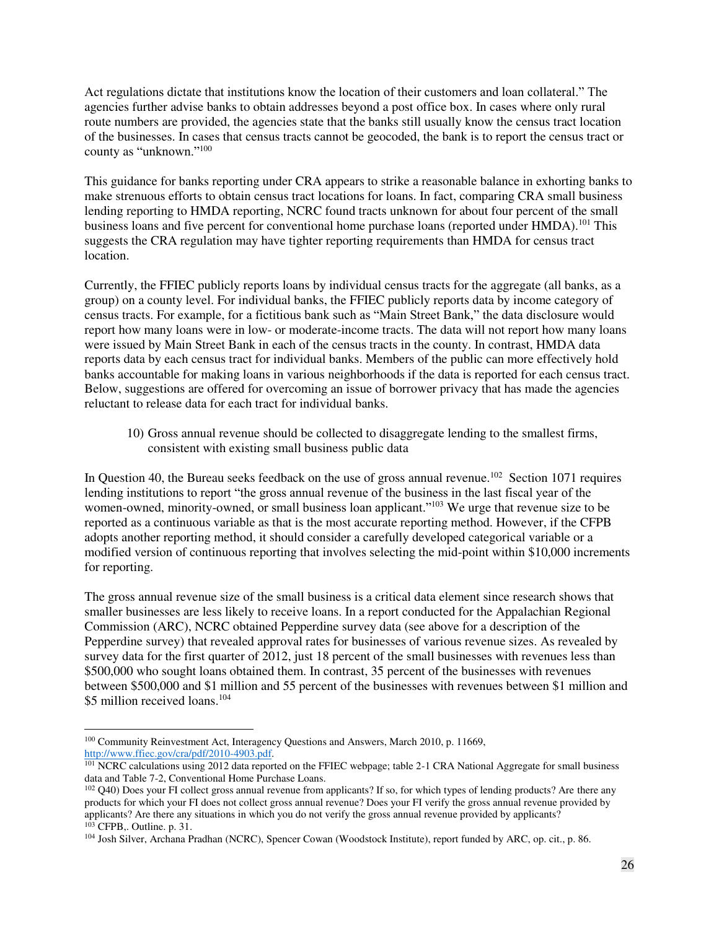Act regulations dictate that institutions know the location of their customers and loan collateral." The agencies further advise banks to obtain addresses beyond a post office box. In cases where only rural route numbers are provided, the agencies state that the banks still usually know the census tract location of the businesses. In cases that census tracts cannot be geocoded, the bank is to report the census tract or county as "unknown."<sup>100</sup>

This guidance for banks reporting under CRA appears to strike a reasonable balance in exhorting banks to make strenuous efforts to obtain census tract locations for loans. In fact, comparing CRA small business lending reporting to HMDA reporting, NCRC found tracts unknown for about four percent of the small business loans and five percent for conventional home purchase loans (reported under HMDA).<sup>101</sup> This suggests the CRA regulation may have tighter reporting requirements than HMDA for census tract location.

Currently, the FFIEC publicly reports loans by individual census tracts for the aggregate (all banks, as a group) on a county level. For individual banks, the FFIEC publicly reports data by income category of census tracts. For example, for a fictitious bank such as "Main Street Bank," the data disclosure would report how many loans were in low- or moderate-income tracts. The data will not report how many loans were issued by Main Street Bank in each of the census tracts in the county. In contrast, HMDA data reports data by each census tract for individual banks. Members of the public can more effectively hold banks accountable for making loans in various neighborhoods if the data is reported for each census tract. Below, suggestions are offered for overcoming an issue of borrower privacy that has made the agencies reluctant to release data for each tract for individual banks.

10) Gross annual revenue should be collected to disaggregate lending to the smallest firms, consistent with existing small business public data

<span id="page-25-0"></span>In Question 40, the Bureau seeks feedback on the use of gross annual revenue.<sup>102</sup> Section 1071 requires lending institutions to report "the gross annual revenue of the business in the last fiscal year of the women-owned, minority-owned, or small business loan applicant."<sup>103</sup> We urge that revenue size to be reported as a continuous variable as that is the most accurate reporting method. However, if the CFPB adopts another reporting method, it should consider a carefully developed categorical variable or a modified version of continuous reporting that involves selecting the mid-point within \$10,000 increments for reporting.

The gross annual revenue size of the small business is a critical data element since research shows that smaller businesses are less likely to receive loans. In a report conducted for the Appalachian Regional Commission (ARC), NCRC obtained Pepperdine survey data (see above for a description of the Pepperdine survey) that revealed approval rates for businesses of various revenue sizes. As revealed by survey data for the first quarter of 2012, just 18 percent of the small businesses with revenues less than \$500,000 who sought loans obtained them. In contrast, 35 percent of the businesses with revenues between \$500,000 and \$1 million and 55 percent of the businesses with revenues between \$1 million and \$5 million received loans.<sup>104</sup>

 $\ddot{\phantom{a}}$ <sup>100</sup> Community Reinvestment Act, Interagency Questions and Answers, March 2010, p. 11669, [http://www.ffiec.gov/cra/pdf/2010-4903.pdf.](http://www.ffiec.gov/cra/pdf/2010-4903.pdf)

<sup>&</sup>lt;sup>101</sup> NCRC calculations using 2012 data reported on the FFIEC webpage; table 2-1 CRA National Aggregate for small business data and Table 7-2, Conventional Home Purchase Loans.

<sup>&</sup>lt;sup>102</sup> Q40) Does your FI collect gross annual revenue from applicants? If so, for which types of lending products? Are there any products for which your FI does not collect gross annual revenue? Does your FI verify the gross annual revenue provided by applicants? Are there any situations in which you do not verify the gross annual revenue provided by applicants?  $103$  CFPB,. Outline. p. 31.

<sup>104</sup> Josh Silver, Archana Pradhan (NCRC), Spencer Cowan (Woodstock Institute), report funded by ARC, op. cit., p. 86.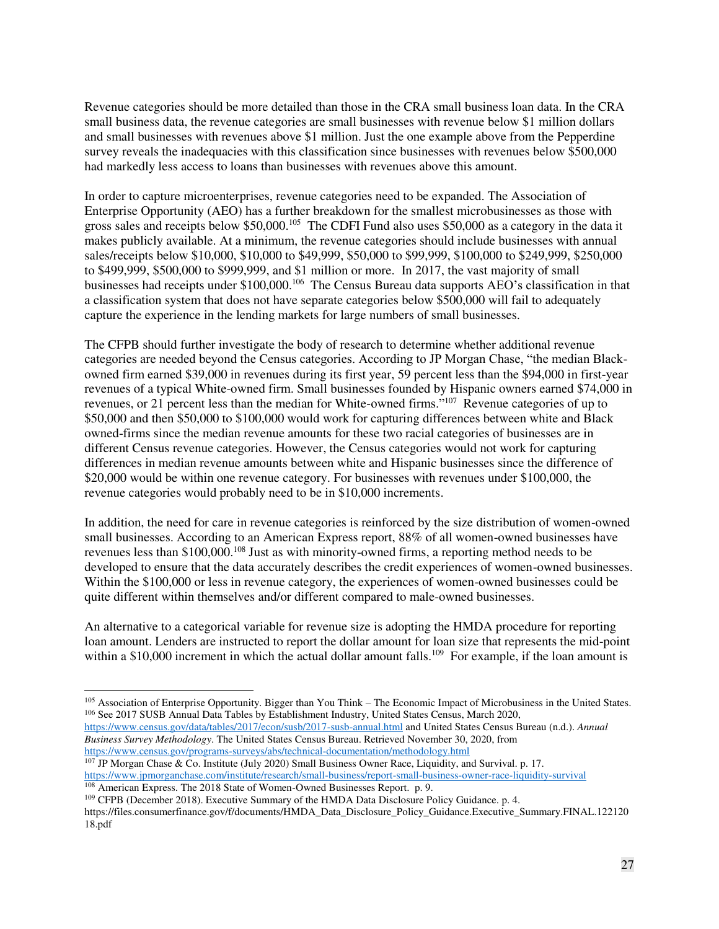Revenue categories should be more detailed than those in the CRA small business loan data. In the CRA small business data, the revenue categories are small businesses with revenue below \$1 million dollars and small businesses with revenues above \$1 million. Just the one example above from the Pepperdine survey reveals the inadequacies with this classification since businesses with revenues below \$500,000 had markedly less access to loans than businesses with revenues above this amount.

In order to capture microenterprises, revenue categories need to be expanded. The Association of Enterprise Opportunity (AEO) has a further breakdown for the smallest microbusinesses as those with gross sales and receipts below \$50,000.<sup>105</sup> The CDFI Fund also uses \$50,000 as a category in the data it makes publicly available. At a minimum, the revenue categories should include businesses with annual sales/receipts below \$10,000, \$10,000 to \$49,999, \$50,000 to \$99,999, \$100,000 to \$249,999, \$250,000 to \$499,999, \$500,000 to \$999,999, and \$1 million or more. In 2017, the vast majority of small businesses had receipts under \$100,000.<sup>106</sup> The Census Bureau data supports AEO's classification in that a classification system that does not have separate categories below \$500,000 will fail to adequately capture the experience in the lending markets for large numbers of small businesses.

The CFPB should further investigate the body of research to determine whether additional revenue categories are needed beyond the Census categories. According to JP Morgan Chase, "the median Blackowned firm earned \$39,000 in revenues during its first year, 59 percent less than the \$94,000 in first-year revenues of a typical White-owned firm. Small businesses founded by Hispanic owners earned \$74,000 in revenues, or 21 percent less than the median for White-owned firms."<sup>107</sup> Revenue categories of up to \$50,000 and then \$50,000 to \$100,000 would work for capturing differences between white and Black owned-firms since the median revenue amounts for these two racial categories of businesses are in different Census revenue categories. However, the Census categories would not work for capturing differences in median revenue amounts between white and Hispanic businesses since the difference of \$20,000 would be within one revenue category. For businesses with revenues under \$100,000, the revenue categories would probably need to be in \$10,000 increments.

In addition, the need for care in revenue categories is reinforced by the size distribution of women-owned small businesses. According to an American Express report, 88% of all women-owned businesses have revenues less than \$100,000.<sup>108</sup> Just as with minority-owned firms, a reporting method needs to be developed to ensure that the data accurately describes the credit experiences of women-owned businesses. Within the \$100,000 or less in revenue category, the experiences of women-owned businesses could be quite different within themselves and/or different compared to male-owned businesses.

An alternative to a categorical variable for revenue size is adopting the HMDA procedure for reporting loan amount. Lenders are instructed to report the dollar amount for loan size that represents the mid-point within a \$10,000 increment in which the actual dollar amount falls.<sup>109</sup> For example, if the loan amount is

*Business Survey Methodology*. The United States Census Bureau. Retrieved November 30, 2020, from <https://www.census.gov/programs-surveys/abs/technical-documentation/methodology.html>

<sup>109</sup> CFPB (December 2018). Executive Summary of the HMDA Data Disclosure Policy Guidance. p. 4.

 $\overline{a}$ <sup>105</sup> Association of Enterprise Opportunity. Bigger than You Think – The Economic Impact of Microbusiness in the United States. <sup>106</sup> See 2017 SUSB Annual Data Tables by Establishment Industry, United States Census, March 2020, <https://www.census.gov/data/tables/2017/econ/susb/2017-susb-annual.html>and United States Census Bureau (n.d.). *Annual* 

<sup>&</sup>lt;sup>107</sup> JP Morgan Chase & Co. Institute (July 2020) Small Business Owner Race, Liquidity, and Survival. p. 17. <https://www.jpmorganchase.com/institute/research/small-business/report-small-business-owner-race-liquidity-survival> <sup>108</sup> American Express. The 2018 State of Women-Owned Businesses Report. p. 9.

https://files.consumerfinance.gov/f/documents/HMDA\_Data\_Disclosure\_Policy\_Guidance.Executive\_Summary.FINAL.122120 18.pdf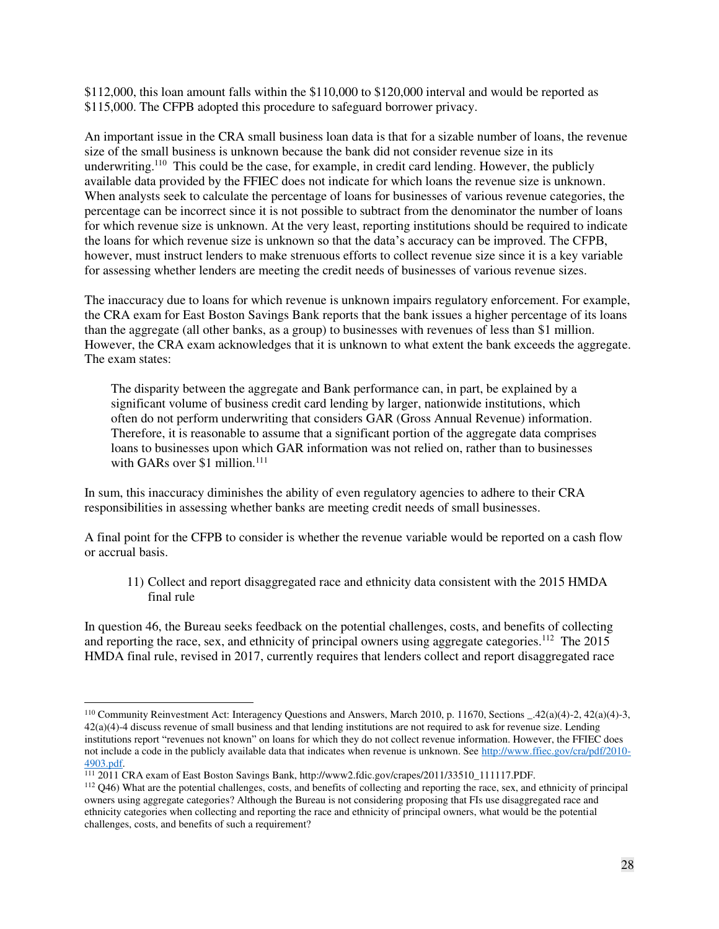\$112,000, this loan amount falls within the \$110,000 to \$120,000 interval and would be reported as \$115,000. The CFPB adopted this procedure to safeguard borrower privacy.

An important issue in the CRA small business loan data is that for a sizable number of loans, the revenue size of the small business is unknown because the bank did not consider revenue size in its underwriting.<sup>110</sup> This could be the case, for example, in credit card lending. However, the publicly available data provided by the FFIEC does not indicate for which loans the revenue size is unknown. When analysts seek to calculate the percentage of loans for businesses of various revenue categories, the percentage can be incorrect since it is not possible to subtract from the denominator the number of loans for which revenue size is unknown. At the very least, reporting institutions should be required to indicate the loans for which revenue size is unknown so that the data's accuracy can be improved. The CFPB, however, must instruct lenders to make strenuous efforts to collect revenue size since it is a key variable for assessing whether lenders are meeting the credit needs of businesses of various revenue sizes.

The inaccuracy due to loans for which revenue is unknown impairs regulatory enforcement. For example, the CRA exam for East Boston Savings Bank reports that the bank issues a higher percentage of its loans than the aggregate (all other banks, as a group) to businesses with revenues of less than \$1 million. However, the CRA exam acknowledges that it is unknown to what extent the bank exceeds the aggregate. The exam states:

The disparity between the aggregate and Bank performance can, in part, be explained by a significant volume of business credit card lending by larger, nationwide institutions, which often do not perform underwriting that considers GAR (Gross Annual Revenue) information. Therefore, it is reasonable to assume that a significant portion of the aggregate data comprises loans to businesses upon which GAR information was not relied on, rather than to businesses with GARs over \$1 million. $111$ 

In sum, this inaccuracy diminishes the ability of even regulatory agencies to adhere to their CRA responsibilities in assessing whether banks are meeting credit needs of small businesses.

<span id="page-27-0"></span>A final point for the CFPB to consider is whether the revenue variable would be reported on a cash flow or accrual basis.

11) Collect and report disaggregated race and ethnicity data consistent with the 2015 HMDA final rule

In question 46, the Bureau seeks feedback on the potential challenges, costs, and benefits of collecting and reporting the race, sex, and ethnicity of principal owners using aggregate categories.<sup>112</sup> The 2015 HMDA final rule, revised in 2017, currently requires that lenders collect and report disaggregated race

<sup>110</sup> Community Reinvestment Act: Interagency Questions and Answers, March 2010, p. 11670, Sections \_.42(a)(4)-2, 42(a)(4)-3,  $42(a)(4)-4$  discuss revenue of small business and that lending institutions are not required to ask for revenue size. Lending institutions report "revenues not known" on loans for which they do not collect revenue information. However, the FFIEC does not include a code in the publicly available data that indicates when revenue is unknown. See [http://www.ffiec.gov/cra/pdf/2010-](http://www.ffiec.gov/cra/pdf/2010-4903.pdf) [4903.pdf.](http://www.ffiec.gov/cra/pdf/2010-4903.pdf)

<sup>111</sup> 2011 CRA exam of East Boston Savings Bank, http://www2.fdic.gov/crapes/2011/33510\_111117.PDF.

<sup>112</sup> Q46) What are the potential challenges, costs, and benefits of collecting and reporting the race, sex, and ethnicity of principal owners using aggregate categories? Although the Bureau is not considering proposing that FIs use disaggregated race and ethnicity categories when collecting and reporting the race and ethnicity of principal owners, what would be the potential challenges, costs, and benefits of such a requirement?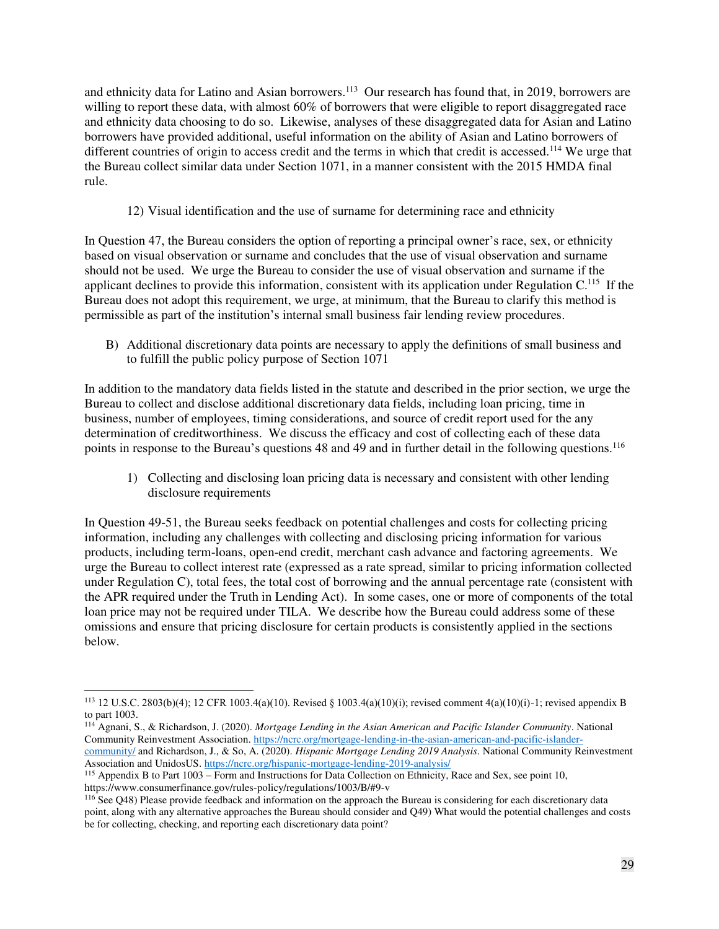and ethnicity data for Latino and Asian borrowers.<sup>113</sup> Our research has found that, in 2019, borrowers are willing to report these data, with almost 60% of borrowers that were eligible to report disaggregated race and ethnicity data choosing to do so. Likewise, analyses of these disaggregated data for Asian and Latino borrowers have provided additional, useful information on the ability of Asian and Latino borrowers of different countries of origin to access credit and the terms in which that credit is accessed.<sup>114</sup> We urge that the Bureau collect similar data under Section 1071, in a manner consistent with the 2015 HMDA final rule.

12) Visual identification and the use of surname for determining race and ethnicity

<span id="page-28-0"></span>In Question 47, the Bureau considers the option of reporting a principal owner's race, sex, or ethnicity based on visual observation or surname and concludes that the use of visual observation and surname should not be used. We urge the Bureau to consider the use of visual observation and surname if the applicant declines to provide this information, consistent with its application under Regulation C.<sup>115</sup> If the Bureau does not adopt this requirement, we urge, at minimum, that the Bureau to clarify this method is permissible as part of the institution's internal small business fair lending review procedures.

<span id="page-28-1"></span>B) Additional discretionary data points are necessary to apply the definitions of small business and to fulfill the public policy purpose of Section 1071

In addition to the mandatory data fields listed in the statute and described in the prior section, we urge the Bureau to collect and disclose additional discretionary data fields, including loan pricing, time in business, number of employees, timing considerations, and source of credit report used for the any determination of creditworthiness. We discuss the efficacy and cost of collecting each of these data points in response to the Bureau's questions 48 and 49 and in further detail in the following questions.<sup>116</sup>

<span id="page-28-2"></span>1) Collecting and disclosing loan pricing data is necessary and consistent with other lending disclosure requirements

In Question 49-51, the Bureau seeks feedback on potential challenges and costs for collecting pricing information, including any challenges with collecting and disclosing pricing information for various products, including term-loans, open-end credit, merchant cash advance and factoring agreements. We urge the Bureau to collect interest rate (expressed as a rate spread, similar to pricing information collected under Regulation C), total fees, the total cost of borrowing and the annual percentage rate (consistent with the APR required under the Truth in Lending Act). In some cases, one or more of components of the total loan price may not be required under TILA. We describe how the Bureau could address some of these omissions and ensure that pricing disclosure for certain products is consistently applied in the sections below.

 $\overline{a}$ <sup>113</sup> 12 U.S.C. 2803(b)(4); 12 CFR 1003.4(a)(10). Revised § 1003.4(a)(10)(i); revised comment 4(a)(10)(i)-1; revised appendix B to part 1003.

<sup>114</sup> Agnani, S., & Richardson, J. (2020). *Mortgage Lending in the Asian American and Pacific Islander Community*. National Community Reinvestment Association. [https://ncrc.org/mortgage-lending-in-the-asian-american-and-pacific-islander](https://ncrc.org/mortgage-lending-in-the-asian-american-and-pacific-islander-community/)[community/ a](https://ncrc.org/mortgage-lending-in-the-asian-american-and-pacific-islander-community/)nd Richardson, J., & So, A. (2020). *Hispanic Mortgage Lending 2019 Analysis*. National Community Reinvestment Association and UnidosUS.<https://ncrc.org/hispanic-mortgage-lending-2019-analysis/>

<sup>115</sup> Appendix B to Part 1003 – Form and Instructions for Data Collection on Ethnicity, Race and Sex, see point 10, https://www.consumerfinance.gov/rules-policy/regulations/1003/B/#9-v

<sup>116</sup> See Q48) Please provide feedback and information on the approach the Bureau is considering for each discretionary data point, along with any alternative approaches the Bureau should consider and Q49) What would the potential challenges and costs be for collecting, checking, and reporting each discretionary data point?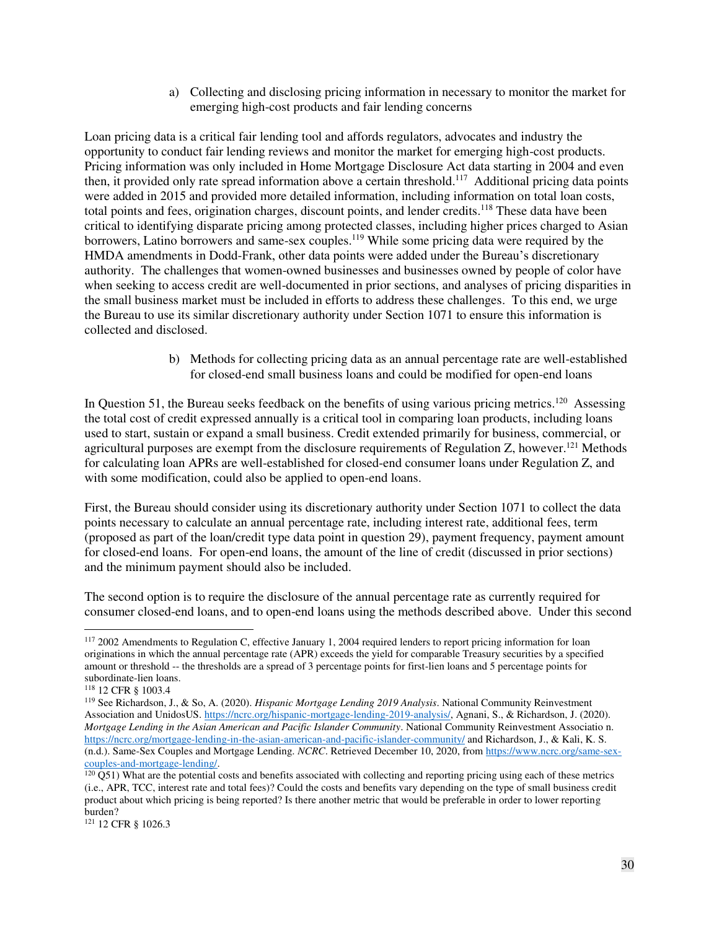a) Collecting and disclosing pricing information in necessary to monitor the market for emerging high-cost products and fair lending concerns

Loan pricing data is a critical fair lending tool and affords regulators, advocates and industry the opportunity to conduct fair lending reviews and monitor the market for emerging high-cost products. Pricing information was only included in Home Mortgage Disclosure Act data starting in 2004 and even then, it provided only rate spread information above a certain threshold.<sup>117</sup> Additional pricing data points were added in 2015 and provided more detailed information, including information on total loan costs, total points and fees, origination charges, discount points, and lender credits.<sup>118</sup> These data have been critical to identifying disparate pricing among protected classes, including higher prices charged to Asian borrowers, Latino borrowers and same-sex couples.<sup>119</sup> While some pricing data were required by the HMDA amendments in Dodd-Frank, other data points were added under the Bureau's discretionary authority. The challenges that women-owned businesses and businesses owned by people of color have when seeking to access credit are well-documented in prior sections, and analyses of pricing disparities in the small business market must be included in efforts to address these challenges. To this end, we urge the Bureau to use its similar discretionary authority under Section 1071 to ensure this information is collected and disclosed.

> b) Methods for collecting pricing data as an annual percentage rate are well-established for closed-end small business loans and could be modified for open-end loans

In Question 51, the Bureau seeks feedback on the benefits of using various pricing metrics.<sup>120</sup> Assessing the total cost of credit expressed annually is a critical tool in comparing loan products, including loans used to start, sustain or expand a small business. Credit extended primarily for business, commercial, or agricultural purposes are exempt from the disclosure requirements of Regulation  $Z$ , however.<sup>121</sup> Methods for calculating loan APRs are well-established for closed-end consumer loans under Regulation Z, and with some modification, could also be applied to open-end loans.

First, the Bureau should consider using its discretionary authority under Section 1071 to collect the data points necessary to calculate an annual percentage rate, including interest rate, additional fees, term (proposed as part of the loan/credit type data point in question 29), payment frequency, payment amount for closed-end loans. For open-end loans, the amount of the line of credit (discussed in prior sections) and the minimum payment should also be included.

The second option is to require the disclosure of the annual percentage rate as currently required for consumer closed-end loans, and to open-end loans using the methods described above. Under this second

 $\ddot{\phantom{a}}$ 

<sup>&</sup>lt;sup>117</sup> 2002 Amendments to Regulation C, effective January 1, 2004 required lenders to report pricing information for loan originations in which the annual percentage rate (APR) exceeds the yield for comparable Treasury securities by a specified amount or threshold -- the thresholds are a spread of 3 percentage points for first-lien loans and 5 percentage points for subordinate-lien loans.

<sup>118</sup> 12 CFR § 1003.4

<sup>119</sup> See Richardson, J., & So, A. (2020). *Hispanic Mortgage Lending 2019 Analysis*. National Community Reinvestment Association and UnidosUS. [https://ncrc.org/hispanic-mortgage-lending-2019-analysis/,](https://ncrc.org/hispanic-mortgage-lending-2019-analysis/) Agnani, S., & Richardson, J. (2020). *Mortgage Lending in the Asian American and Pacific Islander Community*. National Community Reinvestment Associatio n. <https://ncrc.org/mortgage-lending-in-the-asian-american-and-pacific-islander-community/>and Richardson, J., & Kali, K. S. (n.d.). Same-Sex Couples and Mortgage Lending. *NCRC*. Retrieved December 10, 2020, fro[m https://www.ncrc.org/same-sex](https://www.ncrc.org/same-sex-couples-and-mortgage-lending/)[couples-and-mortgage-lending/.](https://www.ncrc.org/same-sex-couples-and-mortgage-lending/)

 $120$  Q51) What are the potential costs and benefits associated with collecting and reporting pricing using each of these metrics (i.e., APR, TCC, interest rate and total fees)? Could the costs and benefits vary depending on the type of small business credit product about which pricing is being reported? Is there another metric that would be preferable in order to lower reporting burden?

<sup>121</sup> 12 CFR § 1026.3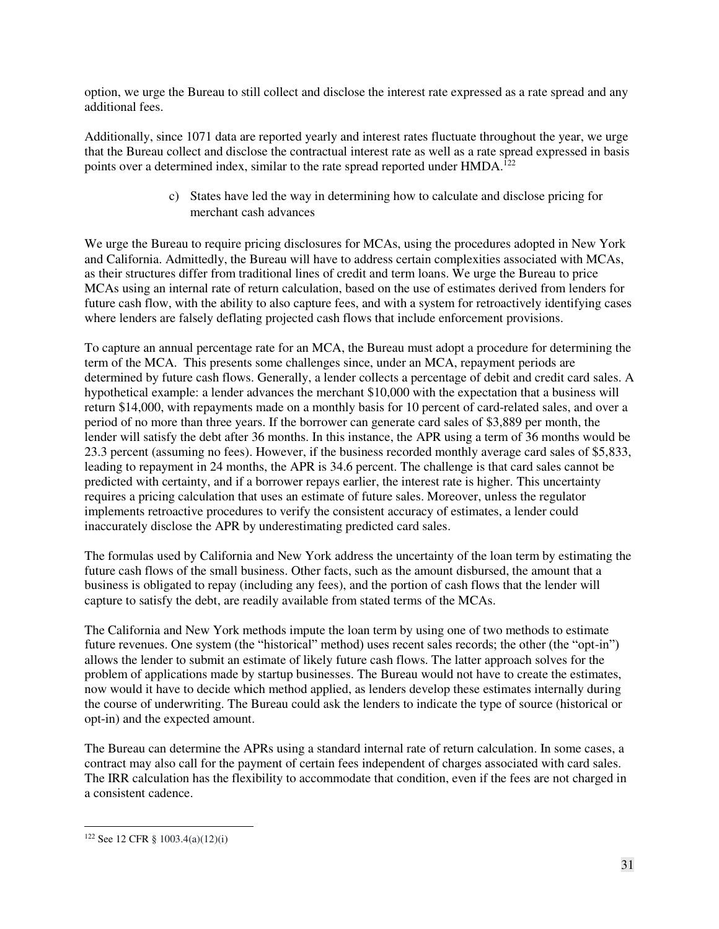option, we urge the Bureau to still collect and disclose the interest rate expressed as a rate spread and any additional fees.

Additionally, since 1071 data are reported yearly and interest rates fluctuate throughout the year, we urge that the Bureau collect and disclose the contractual interest rate as well as a rate spread expressed in basis points over a determined index, similar to the rate spread reported under HMDA.<sup>122</sup>

> c) States have led the way in determining how to calculate and disclose pricing for merchant cash advances

We urge the Bureau to require pricing disclosures for MCAs, using the procedures adopted in New York and California. Admittedly, the Bureau will have to address certain complexities associated with MCAs, as their structures differ from traditional lines of credit and term loans. We urge the Bureau to price MCAs using an internal rate of return calculation, based on the use of estimates derived from lenders for future cash flow, with the ability to also capture fees, and with a system for retroactively identifying cases where lenders are falsely deflating projected cash flows that include enforcement provisions.

To capture an annual percentage rate for an MCA, the Bureau must adopt a procedure for determining the term of the MCA. This presents some challenges since, under an MCA, repayment periods are determined by future cash flows. Generally, a lender collects a percentage of debit and credit card sales. A hypothetical example: a lender advances the merchant \$10,000 with the expectation that a business will return \$14,000, with repayments made on a monthly basis for 10 percent of card-related sales, and over a period of no more than three years. If the borrower can generate card sales of \$3,889 per month, the lender will satisfy the debt after 36 months. In this instance, the APR using a term of 36 months would be 23.3 percent (assuming no fees). However, if the business recorded monthly average card sales of \$5,833, leading to repayment in 24 months, the APR is 34.6 percent. The challenge is that card sales cannot be predicted with certainty, and if a borrower repays earlier, the interest rate is higher. This uncertainty requires a pricing calculation that uses an estimate of future sales. Moreover, unless the regulator implements retroactive procedures to verify the consistent accuracy of estimates, a lender could inaccurately disclose the APR by underestimating predicted card sales.

The formulas used by California and New York address the uncertainty of the loan term by estimating the future cash flows of the small business. Other facts, such as the amount disbursed, the amount that a business is obligated to repay (including any fees), and the portion of cash flows that the lender will capture to satisfy the debt, are readily available from stated terms of the MCAs.

The California and New York methods impute the loan term by using one of two methods to estimate future revenues. One system (the "historical" method) uses recent sales records; the other (the "opt-in") allows the lender to submit an estimate of likely future cash flows. The latter approach solves for the problem of applications made by startup businesses. The Bureau would not have to create the estimates, now would it have to decide which method applied, as lenders develop these estimates internally during the course of underwriting. The Bureau could ask the lenders to indicate the type of source (historical or opt-in) and the expected amount.

The Bureau can determine the APRs using a standard internal rate of return calculation. In some cases, a contract may also call for the payment of certain fees independent of charges associated with card sales. The IRR calculation has the flexibility to accommodate that condition, even if the fees are not charged in a consistent cadence.

<sup>122</sup> See 12 CFR § 1003.4(a)(12)(i)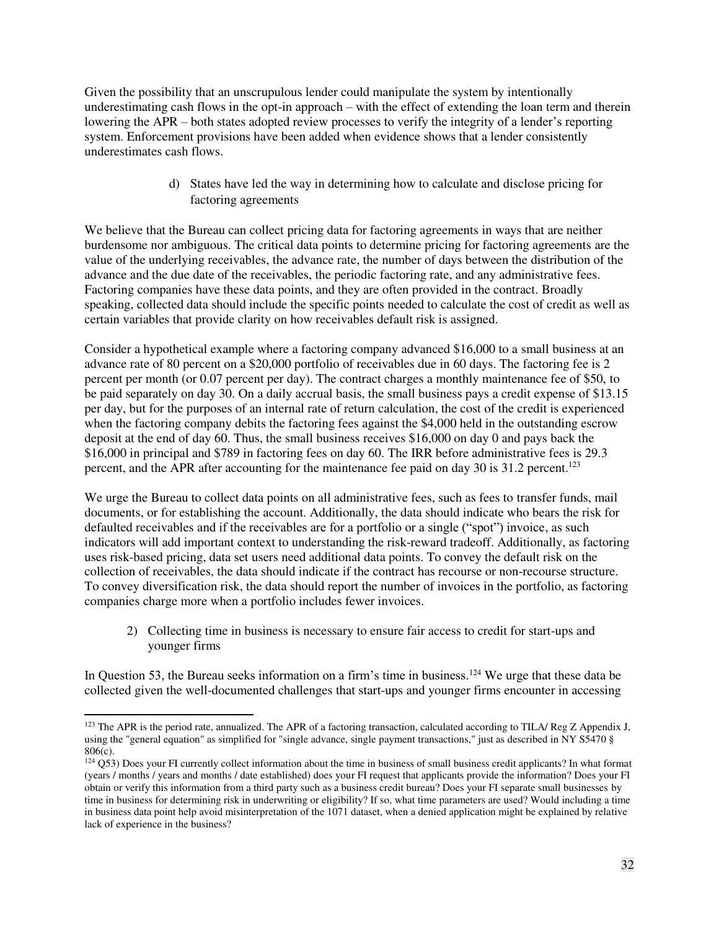Given the possibility that an unscrupulous lender could manipulate the system by intentionally underestimating cash flows in the opt-in approach – with the effect of extending the loan term and therein lowering the APR – both states adopted review processes to verify the integrity of a lender's reporting system. Enforcement provisions have been added when evidence shows that a lender consistently underestimates cash flows.

> d) States have led the way in determining how to calculate and disclose pricing for factoring agreements

We believe that the Bureau can collect pricing data for factoring agreements in ways that are neither burdensome nor ambiguous. The critical data points to determine pricing for factoring agreements are the value of the underlying receivables, the advance rate, the number of days between the distribution of the advance and the due date of the receivables, the periodic factoring rate, and any administrative fees. Factoring companies have these data points, and they are often provided in the contract. Broadly speaking, collected data should include the specific points needed to calculate the cost of credit as well as certain variables that provide clarity on how receivables default risk is assigned.

Consider a hypothetical example where a factoring company advanced \$16,000 to a small business at an advance rate of 80 percent on a \$20,000 portfolio of receivables due in 60 days. The factoring fee is 2 percent per month (or 0.07 percent per day). The contract charges a monthly maintenance fee of \$50, to be paid separately on day 30. On a daily accrual basis, the small business pays a credit expense of \$13.15 per day, but for the purposes of an internal rate of return calculation, the cost of the credit is experienced when the factoring company debits the factoring fees against the \$4,000 held in the outstanding escrow deposit at the end of day 60. Thus, the small business receives \$16,000 on day 0 and pays back the \$16,000 in principal and \$789 in factoring fees on day 60. The IRR before administrative fees is 29.3 percent, and the APR after accounting for the maintenance fee paid on day 30 is 31.2 percent.<sup>123</sup>

We urge the Bureau to collect data points on all administrative fees, such as fees to transfer funds, mail documents, or for establishing the account. Additionally, the data should indicate who bears the risk for defaulted receivables and if the receivables are for a portfolio or a single ("spot") invoice, as such indicators will add important context to understanding the risk-reward tradeoff. Additionally, as factoring uses risk-based pricing, data set users need additional data points. To convey the default risk on the collection of receivables, the data should indicate if the contract has recourse or non-recourse structure. To convey diversification risk, the data should report the number of invoices in the portfolio, as factoring companies charge more when a portfolio includes fewer invoices.

2) Collecting time in business is necessary to ensure fair access to credit for start-ups and younger firms

<span id="page-31-0"></span>In Question 53, the Bureau seeks information on a firm's time in business.<sup>124</sup> We urge that these data be collected given the well-documented challenges that start-ups and younger firms encounter in accessing

<sup>&</sup>lt;sup>123</sup> The APR is the period rate, annualized. The APR of a factoring transaction, calculated according to TILA/ Reg Z Appendix J, using the "general equation" as simplified for "single advance, single payment transactions," just as described in NY S5470 § 806(c).

 $124$  Q53) Does your FI currently collect information about the time in business of small business credit applicants? In what format (years / months / years and months / date established) does your FI request that applicants provide the information? Does your FI obtain or verify this information from a third party such as a business credit bureau? Does your FI separate small businesses by time in business for determining risk in underwriting or eligibility? If so, what time parameters are used? Would including a time in business data point help avoid misinterpretation of the 1071 dataset, when a denied application might be explained by relative lack of experience in the business?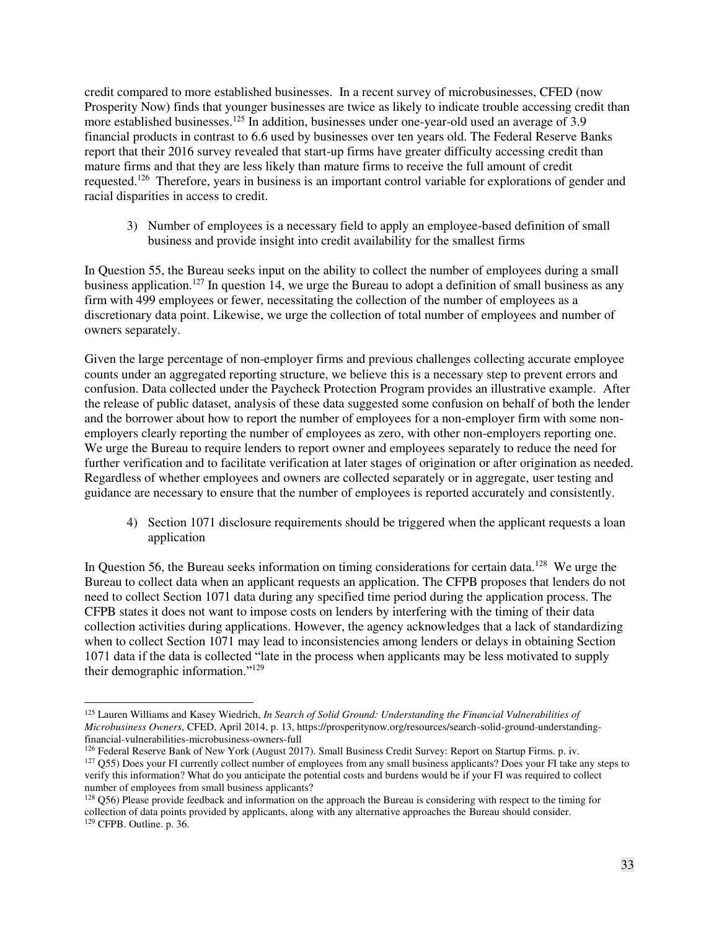credit compared to more established businesses. In a recent survey of microbusinesses, CFED (now Prosperity Now) finds that younger businesses are twice as likely to indicate trouble accessing credit than more established businesses.<sup>125</sup> In addition, businesses under one-year-old used an average of 3.9 financial products in contrast to 6.6 used by businesses over ten years old. The Federal Reserve Banks report that their 2016 survey revealed that start-up firms have greater difficulty accessing credit than mature firms and that they are less likely than mature firms to receive the full amount of credit requested.<sup>126</sup> Therefore, years in business is an important control variable for explorations of gender and racial disparities in access to credit.

<span id="page-32-0"></span>3) Number of employees is a necessary field to apply an employee-based definition of small business and provide insight into credit availability for the smallest firms

In Question 55, the Bureau seeks input on the ability to collect the number of employees during a small business application.<sup>127</sup> In question 14, we urge the Bureau to adopt a definition of small business as any firm with 499 employees or fewer, necessitating the collection of the number of employees as a discretionary data point. Likewise, we urge the collection of total number of employees and number of owners separately.

Given the large percentage of non-employer firms and previous challenges collecting accurate employee counts under an aggregated reporting structure, we believe this is a necessary step to prevent errors and confusion. Data collected under the Paycheck Protection Program provides an illustrative example. After the release of public dataset, analysis of these data suggested some confusion on behalf of both the lender and the borrower about how to report the number of employees for a non-employer firm with some nonemployers clearly reporting the number of employees as zero, with other non-employers reporting one. We urge the Bureau to require lenders to report owner and employees separately to reduce the need for further verification and to facilitate verification at later stages of origination or after origination as needed. Regardless of whether employees and owners are collected separately or in aggregate, user testing and guidance are necessary to ensure that the number of employees is reported accurately and consistently.

<span id="page-32-1"></span>4) Section 1071 disclosure requirements should be triggered when the applicant requests a loan application

In Question 56, the Bureau seeks information on timing considerations for certain data.<sup>128</sup> We urge the Bureau to collect data when an applicant requests an application. The CFPB proposes that lenders do not need to collect Section 1071 data during any specified time period during the application process. The CFPB states it does not want to impose costs on lenders by interfering with the timing of their data collection activities during applications. However, the agency acknowledges that a lack of standardizing when to collect Section 1071 may lead to inconsistencies among lenders or delays in obtaining Section 1071 data if the data is collected "late in the process when applicants may be less motivated to supply their demographic information."<sup>129</sup>

 $\overline{a}$ <sup>125</sup> Lauren Williams and Kasey Wiedrich, *In Search of Solid Ground: Understanding the Financial Vulnerabilities of Microbusiness Owners*, CFED, April 2014, p. 13, https://prosperitynow.org/resources/search-solid-ground-understandingfinancial-vulnerabilities-microbusiness-owners-full

<sup>&</sup>lt;sup>126</sup> Federal Reserve Bank of New York (August 2017). Small Business Credit Survey: Report on Startup Firms. p. iv. <sup>127</sup> Q55) Does your FI currently collect number of employees from any small business applicants? Does your FI take any steps to verify this information? What do you anticipate the potential costs and burdens would be if your FI was required to collect number of employees from small business applicants?

<sup>&</sup>lt;sup>128</sup> Q56) Please provide feedback and information on the approach the Bureau is considering with respect to the timing for collection of data points provided by applicants, along with any alternative approaches the Bureau should consider. 129 CFPB. Outline. p. 36.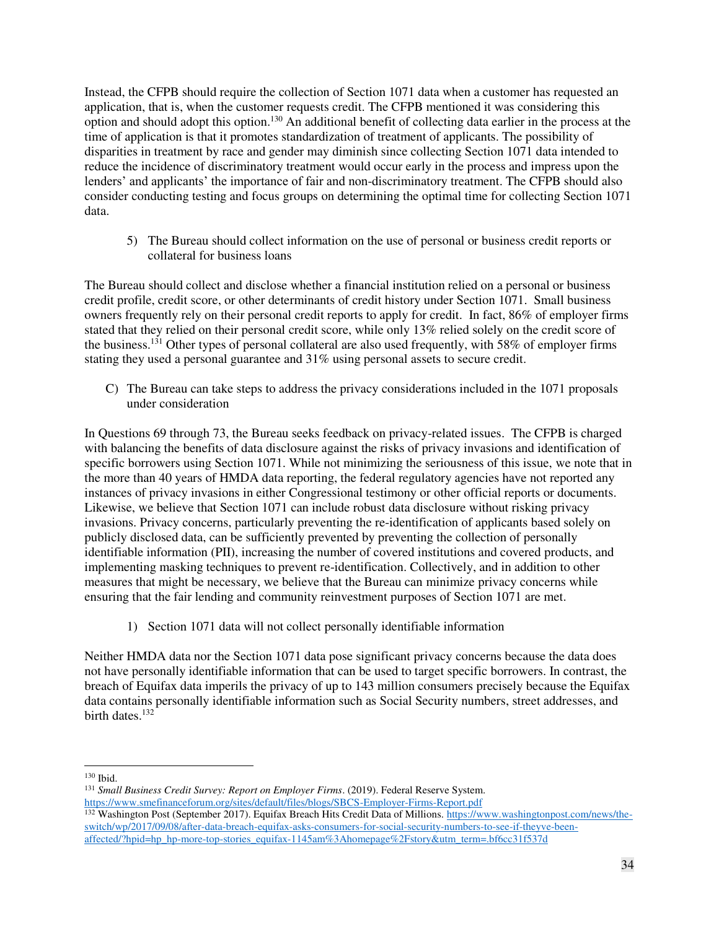Instead, the CFPB should require the collection of Section 1071 data when a customer has requested an application, that is, when the customer requests credit. The CFPB mentioned it was considering this option and should adopt this option.<sup>130</sup> An additional benefit of collecting data earlier in the process at the time of application is that it promotes standardization of treatment of applicants. The possibility of disparities in treatment by race and gender may diminish since collecting Section 1071 data intended to reduce the incidence of discriminatory treatment would occur early in the process and impress upon the lenders' and applicants' the importance of fair and non-discriminatory treatment. The CFPB should also consider conducting testing and focus groups on determining the optimal time for collecting Section 1071 data.

<span id="page-33-0"></span>5) The Bureau should collect information on the use of personal or business credit reports or collateral for business loans

The Bureau should collect and disclose whether a financial institution relied on a personal or business credit profile, credit score, or other determinants of credit history under Section 1071. Small business owners frequently rely on their personal credit reports to apply for credit. In fact, 86% of employer firms stated that they relied on their personal credit score, while only 13% relied solely on the credit score of the business.<sup>131</sup> Other types of personal collateral are also used frequently, with 58% of employer firms stating they used a personal guarantee and 31% using personal assets to secure credit.

<span id="page-33-1"></span>C) The Bureau can take steps to address the privacy considerations included in the 1071 proposals under consideration

In Questions 69 through 73, the Bureau seeks feedback on privacy-related issues. The CFPB is charged with balancing the benefits of data disclosure against the risks of privacy invasions and identification of specific borrowers using Section 1071. While not minimizing the seriousness of this issue, we note that in the more than 40 years of HMDA data reporting, the federal regulatory agencies have not reported any instances of privacy invasions in either Congressional testimony or other official reports or documents. Likewise, we believe that Section 1071 can include robust data disclosure without risking privacy invasions. Privacy concerns, particularly preventing the re-identification of applicants based solely on publicly disclosed data, can be sufficiently prevented by preventing the collection of personally identifiable information (PII), increasing the number of covered institutions and covered products, and implementing masking techniques to prevent re-identification. Collectively, and in addition to other measures that might be necessary, we believe that the Bureau can minimize privacy concerns while ensuring that the fair lending and community reinvestment purposes of Section 1071 are met.

1) Section 1071 data will not collect personally identifiable information

<span id="page-33-2"></span>Neither HMDA data nor the Section 1071 data pose significant privacy concerns because the data does not have personally identifiable information that can be used to target specific borrowers. In contrast, the breach of Equifax data imperils the privacy of up to 143 million consumers precisely because the Equifax data contains personally identifiable information such as Social Security numbers, street addresses, and birth dates.<sup>132</sup>

 $\overline{a}$ <sup>130</sup> Ibid.

<sup>131</sup> *Small Business Credit Survey: Report on Employer Firms*. (2019). Federal Reserve System. <https://www.smefinanceforum.org/sites/default/files/blogs/SBCS-Employer-Firms-Report.pdf>

<sup>&</sup>lt;sup>132</sup> Washington Post (September 2017). Equifax Breach Hits Credit Data of Millions[. https://www.washingtonpost.com/news/the](https://www.washingtonpost.com/news/the-switch/wp/2017/09/08/after-data-breach-equifax-asks-consumers-for-social-security-numbers-to-see-if-theyve-been-affected/?hpid=hp_hp-more-top-stories_equifax-1145am%3Ahomepage%2Fstory&utm_term=.bf6cc31f537d)[switch/wp/2017/09/08/after-data-breach-equifax-asks-consumers-for-social-security-numbers-to-see-if-theyve-been](https://www.washingtonpost.com/news/the-switch/wp/2017/09/08/after-data-breach-equifax-asks-consumers-for-social-security-numbers-to-see-if-theyve-been-affected/?hpid=hp_hp-more-top-stories_equifax-1145am%3Ahomepage%2Fstory&utm_term=.bf6cc31f537d)[affected/?hpid=hp\\_hp-more-top-stories\\_equifax-1145am%3Ahomepage%2Fstory&utm\\_term=.bf6cc31f537d](https://www.washingtonpost.com/news/the-switch/wp/2017/09/08/after-data-breach-equifax-asks-consumers-for-social-security-numbers-to-see-if-theyve-been-affected/?hpid=hp_hp-more-top-stories_equifax-1145am%3Ahomepage%2Fstory&utm_term=.bf6cc31f537d)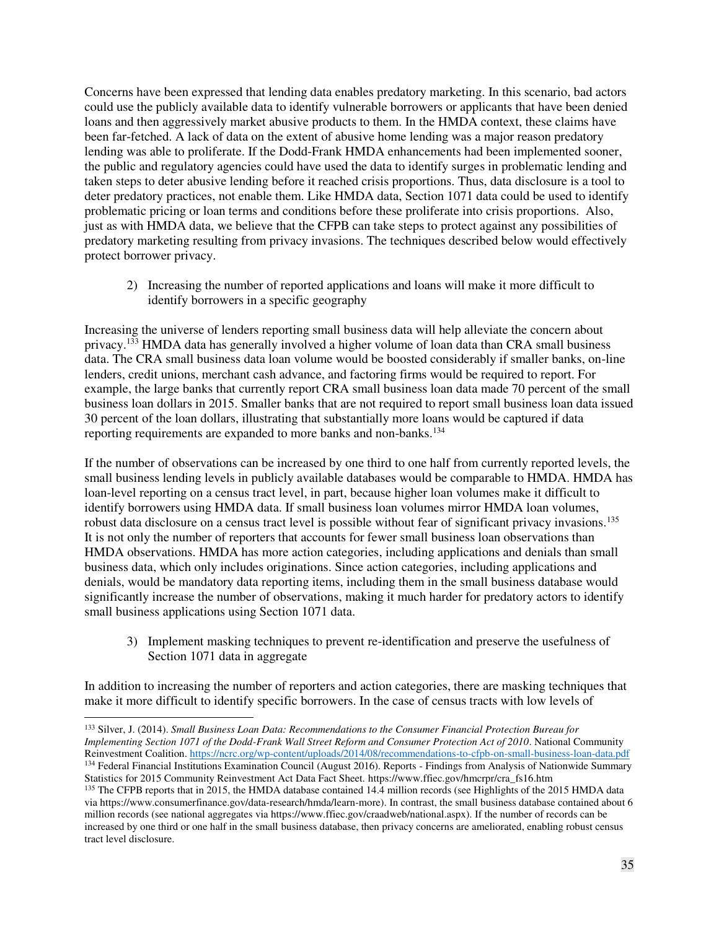Concerns have been expressed that lending data enables predatory marketing. In this scenario, bad actors could use the publicly available data to identify vulnerable borrowers or applicants that have been denied loans and then aggressively market abusive products to them. In the HMDA context, these claims have been far-fetched. A lack of data on the extent of abusive home lending was a major reason predatory lending was able to proliferate. If the Dodd-Frank HMDA enhancements had been implemented sooner, the public and regulatory agencies could have used the data to identify surges in problematic lending and taken steps to deter abusive lending before it reached crisis proportions. Thus, data disclosure is a tool to deter predatory practices, not enable them. Like HMDA data, Section 1071 data could be used to identify problematic pricing or loan terms and conditions before these proliferate into crisis proportions. Also, just as with HMDA data, we believe that the CFPB can take steps to protect against any possibilities of predatory marketing resulting from privacy invasions. The techniques described below would effectively protect borrower privacy.

2) Increasing the number of reported applications and loans will make it more difficult to identify borrowers in a specific geography

<span id="page-34-0"></span>Increasing the universe of lenders reporting small business data will help alleviate the concern about privacy.<sup>133</sup> HMDA data has generally involved a higher volume of loan data than CRA small business data. The CRA small business data loan volume would be boosted considerably if smaller banks, on-line lenders, credit unions, merchant cash advance, and factoring firms would be required to report. For example, the large banks that currently report CRA small business loan data made 70 percent of the small business loan dollars in 2015. Smaller banks that are not required to report small business loan data issued 30 percent of the loan dollars, illustrating that substantially more loans would be captured if data reporting requirements are expanded to more banks and non-banks.<sup>134</sup>

If the number of observations can be increased by one third to one half from currently reported levels, the small business lending levels in publicly available databases would be comparable to HMDA. HMDA has loan-level reporting on a census tract level, in part, because higher loan volumes make it difficult to identify borrowers using HMDA data. If small business loan volumes mirror HMDA loan volumes, robust data disclosure on a census tract level is possible without fear of significant privacy invasions.<sup>135</sup> It is not only the number of reporters that accounts for fewer small business loan observations than HMDA observations. HMDA has more action categories, including applications and denials than small business data, which only includes originations. Since action categories, including applications and denials, would be mandatory data reporting items, including them in the small business database would significantly increase the number of observations, making it much harder for predatory actors to identify small business applications using Section 1071 data.

<span id="page-34-1"></span>3) Implement masking techniques to prevent re-identification and preserve the usefulness of Section 1071 data in aggregate

In addition to increasing the number of reporters and action categories, there are masking techniques that make it more difficult to identify specific borrowers. In the case of census tracts with low levels of

 $\overline{a}$ <sup>133</sup> Silver, J. (2014). *Small Business Loan Data: Recommendations to the Consumer Financial Protection Bureau for Implementing Section 1071 of the Dodd-Frank Wall Street Reform and Consumer Protection Act of 2010*. National Community Reinvestment Coalition[. https://ncrc.org/wp-content/uploads/2014/08/recommendations-to-cfpb-on-small-business-loan-data.pdf](https://ncrc.org/wp-content/uploads/2014/08/recommendations-to-cfpb-on-small-business-loan-data.pdf) <sup>134</sup> Federal Financial Institutions Examination Council (August 2016). Reports - Findings from Analysis of Nationwide Summary

Statistics for 2015 Community Reinvestment Act Data Fact Sheet*.* https://www.ffiec.gov/hmcrpr/cra\_fs16.htm

<sup>&</sup>lt;sup>135</sup> The CFPB reports that in 2015, the HMDA database contained 14.4 million records (see Highlights of the 2015 HMDA data via https://www.consumerfinance.gov/data-research/hmda/learn-more). In contrast, the small business database contained about 6 million records (see national aggregates via https://www.ffiec.gov/craadweb/national.aspx). If the number of records can be increased by one third or one half in the small business database, then privacy concerns are ameliorated, enabling robust census tract level disclosure.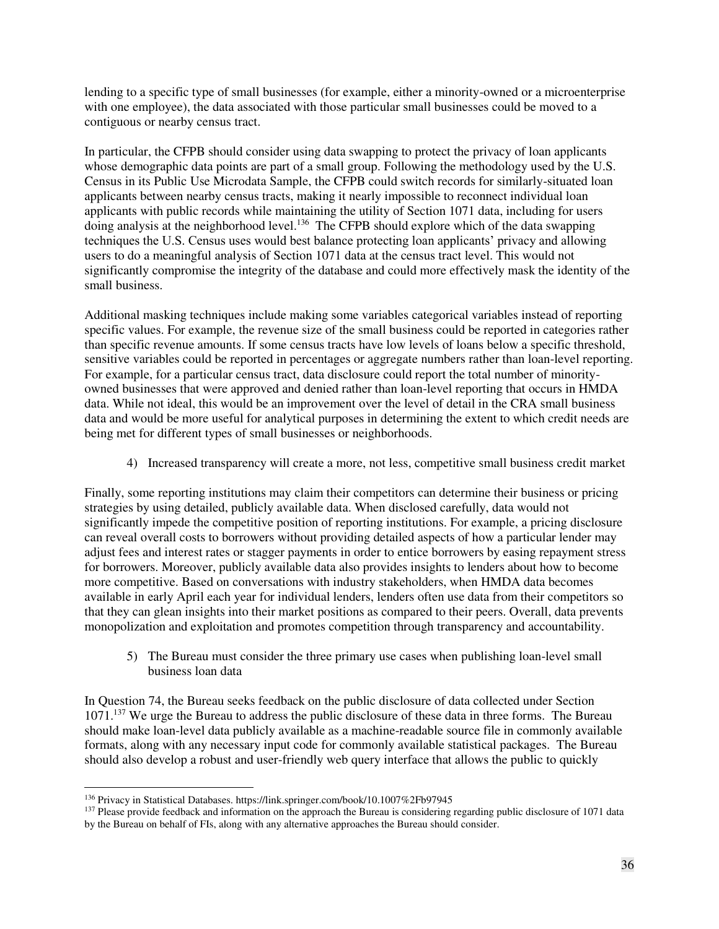lending to a specific type of small businesses (for example, either a minority-owned or a microenterprise with one employee), the data associated with those particular small businesses could be moved to a contiguous or nearby census tract.

In particular, the CFPB should consider using data swapping to protect the privacy of loan applicants whose demographic data points are part of a small group. Following the methodology used by the U.S. Census in its Public Use Microdata Sample, the CFPB could switch records for similarly-situated loan applicants between nearby census tracts, making it nearly impossible to reconnect individual loan applicants with public records while maintaining the utility of Section 1071 data, including for users doing analysis at the neighborhood level.<sup>136</sup> The CFPB should explore which of the data swapping techniques the U.S. Census uses would best balance protecting loan applicants' privacy and allowing users to do a meaningful analysis of Section 1071 data at the census tract level. This would not significantly compromise the integrity of the database and could more effectively mask the identity of the small business.

Additional masking techniques include making some variables categorical variables instead of reporting specific values. For example, the revenue size of the small business could be reported in categories rather than specific revenue amounts. If some census tracts have low levels of loans below a specific threshold, sensitive variables could be reported in percentages or aggregate numbers rather than loan-level reporting. For example, for a particular census tract, data disclosure could report the total number of minorityowned businesses that were approved and denied rather than loan-level reporting that occurs in HMDA data. While not ideal, this would be an improvement over the level of detail in the CRA small business data and would be more useful for analytical purposes in determining the extent to which credit needs are being met for different types of small businesses or neighborhoods.

4) Increased transparency will create a more, not less, competitive small business credit market

<span id="page-35-0"></span>Finally, some reporting institutions may claim their competitors can determine their business or pricing strategies by using detailed, publicly available data. When disclosed carefully, data would not significantly impede the competitive position of reporting institutions. For example, a pricing disclosure can reveal overall costs to borrowers without providing detailed aspects of how a particular lender may adjust fees and interest rates or stagger payments in order to entice borrowers by easing repayment stress for borrowers. Moreover, publicly available data also provides insights to lenders about how to become more competitive. Based on conversations with industry stakeholders, when HMDA data becomes available in early April each year for individual lenders, lenders often use data from their competitors so that they can glean insights into their market positions as compared to their peers. Overall, data prevents monopolization and exploitation and promotes competition through transparency and accountability.

<span id="page-35-1"></span>5) The Bureau must consider the three primary use cases when publishing loan-level small business loan data

In Question 74, the Bureau seeks feedback on the public disclosure of data collected under Section 1071.<sup>137</sup> We urge the Bureau to address the public disclosure of these data in three forms. The Bureau should make loan-level data publicly available as a machine-readable source file in commonly available formats, along with any necessary input code for commonly available statistical packages. The Bureau should also develop a robust and user-friendly web query interface that allows the public to quickly

 $\overline{a}$ <sup>136</sup> Privacy in Statistical Databases. https://link.springer.com/book/10.1007%2Fb97945

<sup>&</sup>lt;sup>137</sup> Please provide feedback and information on the approach the Bureau is considering regarding public disclosure of 1071 data by the Bureau on behalf of FIs, along with any alternative approaches the Bureau should consider.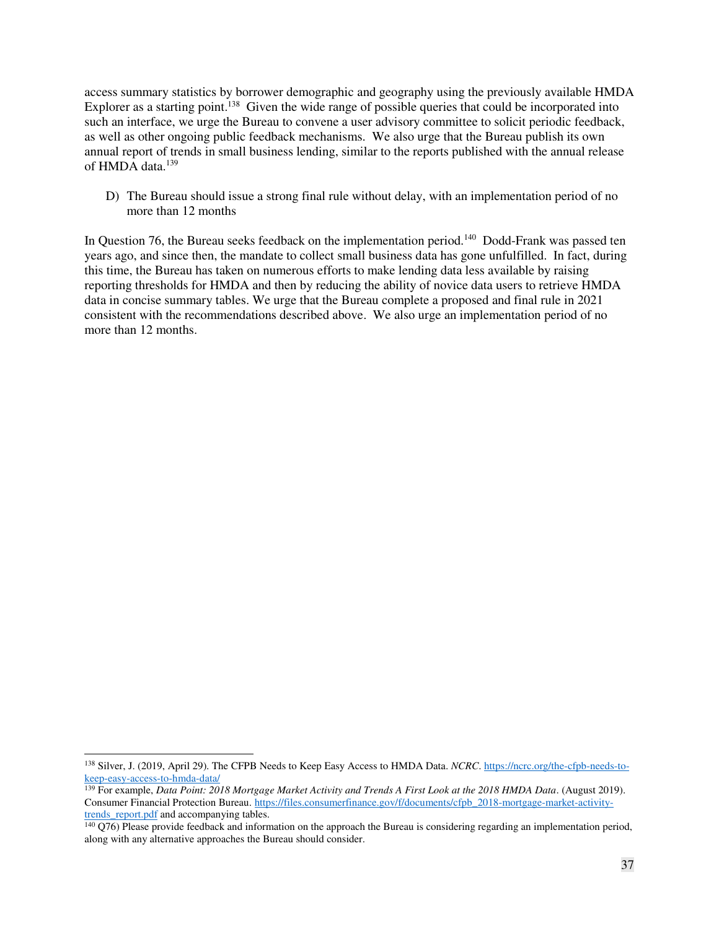access summary statistics by borrower demographic and geography using the previously available HMDA Explorer as a starting point.<sup>138</sup> Given the wide range of possible queries that could be incorporated into such an interface, we urge the Bureau to convene a user advisory committee to solicit periodic feedback, as well as other ongoing public feedback mechanisms. We also urge that the Bureau publish its own annual report of trends in small business lending, similar to the reports published with the annual release of HMDA data.<sup>139</sup>

<span id="page-36-0"></span>D) The Bureau should issue a strong final rule without delay, with an implementation period of no more than 12 months

In Question 76, the Bureau seeks feedback on the implementation period.<sup>140</sup> Dodd-Frank was passed ten years ago, and since then, the mandate to collect small business data has gone unfulfilled. In fact, during this time, the Bureau has taken on numerous efforts to make lending data less available by raising reporting thresholds for HMDA and then by reducing the ability of novice data users to retrieve HMDA data in concise summary tables. We urge that the Bureau complete a proposed and final rule in 2021 consistent with the recommendations described above. We also urge an implementation period of no more than 12 months.

<sup>138</sup> Silver, J. (2019, April 29). The CFPB Needs to Keep Easy Access to HMDA Data. *NCRC*[. https://ncrc.org/the-cfpb-needs-to](https://ncrc.org/the-cfpb-needs-to-keep-easy-access-to-hmda-data/)[keep-easy-access-to-hmda-data/](https://ncrc.org/the-cfpb-needs-to-keep-easy-access-to-hmda-data/)

<sup>139</sup> For example, *Data Point: 2018 Mortgage Market Activity and Trends A First Look at the 2018 HMDA Data*. (August 2019). Consumer Financial Protection Bureau[. https://files.consumerfinance.gov/f/documents/cfpb\\_2018-mortgage-market-activity](https://files.consumerfinance.gov/f/documents/cfpb_2018-mortgage-market-activity-trends_report.pdf)trends report.pdf and accompanying tables.

<sup>140</sup> Q76) Please provide feedback and information on the approach the Bureau is considering regarding an implementation period, along with any alternative approaches the Bureau should consider.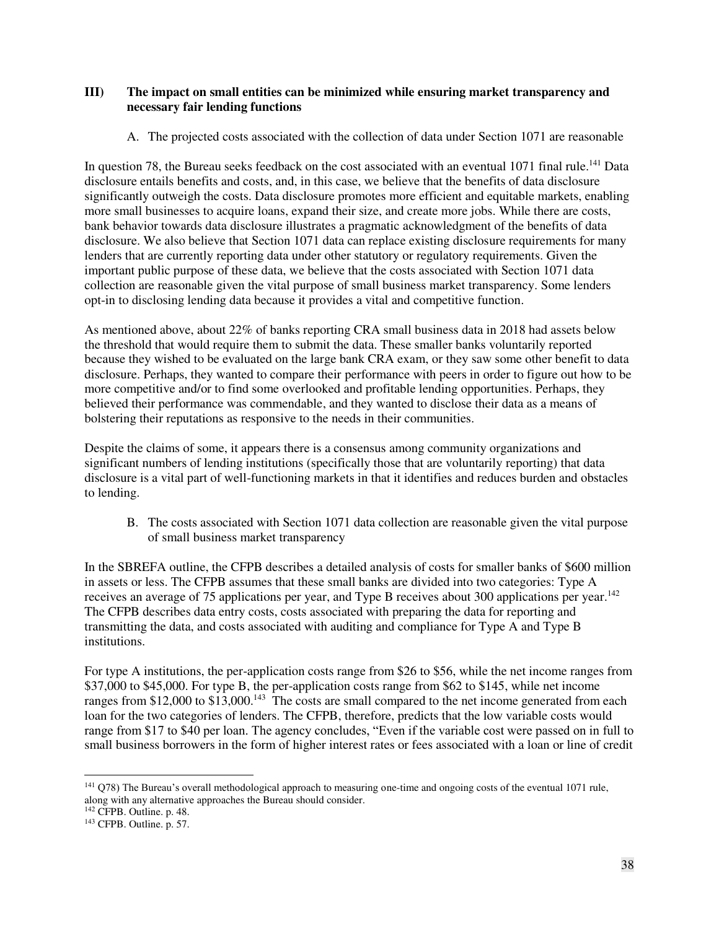#### <span id="page-37-0"></span>**III) The impact on small entities can be minimized while ensuring market transparency and necessary fair lending functions**

#### A. The projected costs associated with the collection of data under Section 1071 are reasonable

<span id="page-37-1"></span>In question 78, the Bureau seeks feedback on the cost associated with an eventual 1071 final rule.<sup>141</sup> Data disclosure entails benefits and costs, and, in this case, we believe that the benefits of data disclosure significantly outweigh the costs. Data disclosure promotes more efficient and equitable markets, enabling more small businesses to acquire loans, expand their size, and create more jobs. While there are costs, bank behavior towards data disclosure illustrates a pragmatic acknowledgment of the benefits of data disclosure. We also believe that Section 1071 data can replace existing disclosure requirements for many lenders that are currently reporting data under other statutory or regulatory requirements. Given the important public purpose of these data, we believe that the costs associated with Section 1071 data collection are reasonable given the vital purpose of small business market transparency. Some lenders opt-in to disclosing lending data because it provides a vital and competitive function.

As mentioned above, about 22% of banks reporting CRA small business data in 2018 had assets below the threshold that would require them to submit the data. These smaller banks voluntarily reported because they wished to be evaluated on the large bank CRA exam, or they saw some other benefit to data disclosure. Perhaps, they wanted to compare their performance with peers in order to figure out how to be more competitive and/or to find some overlooked and profitable lending opportunities. Perhaps, they believed their performance was commendable, and they wanted to disclose their data as a means of bolstering their reputations as responsive to the needs in their communities.

Despite the claims of some, it appears there is a consensus among community organizations and significant numbers of lending institutions (specifically those that are voluntarily reporting) that data disclosure is a vital part of well-functioning markets in that it identifies and reduces burden and obstacles to lending.

<span id="page-37-2"></span>B. The costs associated with Section 1071 data collection are reasonable given the vital purpose of small business market transparency

In the SBREFA outline, the CFPB describes a detailed analysis of costs for smaller banks of \$600 million in assets or less. The CFPB assumes that these small banks are divided into two categories: Type A receives an average of 75 applications per year, and Type B receives about 300 applications per year.<sup>142</sup> The CFPB describes data entry costs, costs associated with preparing the data for reporting and transmitting the data, and costs associated with auditing and compliance for Type A and Type B institutions.

For type A institutions, the per-application costs range from \$26 to \$56, while the net income ranges from \$37,000 to \$45,000. For type B, the per-application costs range from \$62 to \$145, while net income ranges from \$12,000 to \$13,000.<sup>143</sup> The costs are small compared to the net income generated from each loan for the two categories of lenders. The CFPB, therefore, predicts that the low variable costs would range from \$17 to \$40 per loan. The agency concludes, "Even if the variable cost were passed on in full to small business borrowers in the form of higher interest rates or fees associated with a loan or line of credit

 $\overline{a}$ <sup>141</sup> Q78) The Bureau's overall methodological approach to measuring one-time and ongoing costs of the eventual 1071 rule, along with any alternative approaches the Bureau should consider.

<sup>142</sup> CFPB. Outline. p. 48.

<sup>143</sup> CFPB. Outline. p. 57.